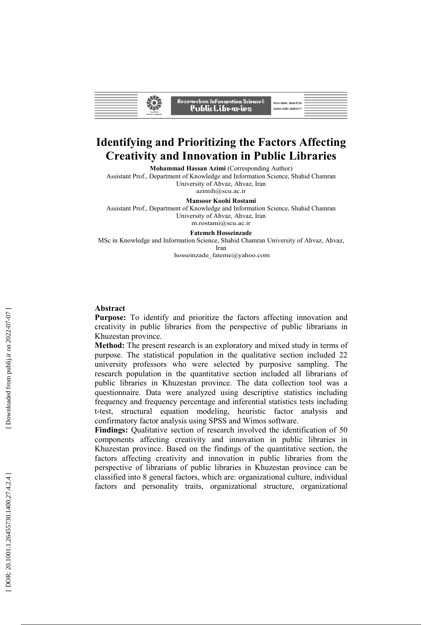| Research on Information Science&<br>Print ISSN: 2645-5730<br>PublicLibrarips<br>Online ISSN: 2645-6117<br><b>Iran Public</b><br><b>Ilbraries Foundation</b> |  |
|-------------------------------------------------------------------------------------------------------------------------------------------------------------|--|
|-------------------------------------------------------------------------------------------------------------------------------------------------------------|--|

# **Identifying and Prioritizing the Factors Affecting Creativity and Innovation in Public Libraries**

**Mohammad Hassan Azimi**  (Corresponding Author)

Assistant Prof., Department of Knowledge and Information Science, Shahid Chamran University of Ahvaz, Ahvaz, Iran azimih@scu.ac.ir

**Mansoor Koohi Rostami** 

Assistant Prof., Department of Knowledge and Information Science, Shahid Chamran University of Ahvaz, Ahvaz, Iran m.rostami@scu.ac.ir

#### **Fatemeh Hosseinzade**

MSc in Knowledge and Information Science, Shahid Chamran University of Ahvaz, Ahvaz, Iran

hosseinzade\_fateme@yahoo.com

#### **Abstract**

**Purpose:** To identify and prioritize the factors affecting innovation and creativity in public libraries from the perspective of public librarians in Khuzestan province.

**Method:** The present research is an exploratory and mixed study in terms of purpose. The statistical population in the qualitative section included 22 university professors who were selected by purposive sampling. The research population in the quantitative section included all librarians of public libraries in Khuzestan province. The data collection tool was a questionnaire. Data were analyzed using descriptive statistics including frequency and frequency percentage and inferential statistics tests including t-test, structural equation modeling, heuristic factor analysis and confirmatory factor analysis using SPSS and Wimos software.

**Findings:** Qualitative section of research involved the identification of 50 components affecting creativity and innovation in public libraries in Khuzestan province. Based on the findings of the quantitative section, the factors affecting creativity and innovation in public libraries from the perspective of librarians of public libraries in Khuzestan province can be classified into 8 general factors, which are: organizational culture, individual factors and personality traits, organizational structure, organizational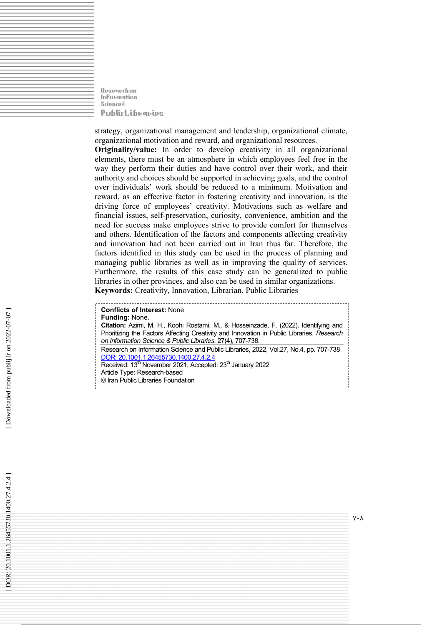Rospanchon **InFormation Science**& **PublicLibraries** 

strategy, organizational management and leadership, organizational climate, organizational motivation and reward, and organizational resources.

**Originality/value:** In order to develop creativity in all organizational elements, there must be an atmosphere in which employees feel free in the way they perform their duties and have control over their work, and their authority and choices should be supported in achieving goals, and the control over individuals' work should be reduced to a minimum. Motivation and reward, as an effective factor in fostering creativity and innovation, is the driving force of employees' creativity. Motivations such as welfare and financial issues, self-preservation, curiosity, convenience, ambition and the need for success make employees strive to provide comfort for themselves and others. Identification of the factors and components affecting creativity and innovation had not been carried out in Iran thus far. Therefore, the factors identified in this study can be used in the process of planning and managing public libraries as well as in improving the quality of services. Furthermore, the results of this case study can be generalized to public libraries in other provinces, and also can be used in similar organizations. **Keywords:** Creativity, Innovation, Librarian, Public Libraries

**Conflicts of Interest:** None **Funding:** None. **Citation:** Azimi, M. H., Koohi Rostami, M., & Hosseinzade, F. (2022). Identifying and Prioritizing the Factors Affecting Creativity and Innovation in Public Libraries. *Research on Information Science & Public Libraries* . 27(4), 707-738. Research on Information Science and Public Libraries, 2022, Vol.27, No.4, pp. 707-738 DOR: 20.1001.1.26455730.1400.27.4.2.4 Received: 13<sup>th</sup> November 2021; Accepted: 23<sup>th</sup> January 2022 Article Type: Research-based © Iran Public Libraries Foundation

 $V \cdot \Lambda$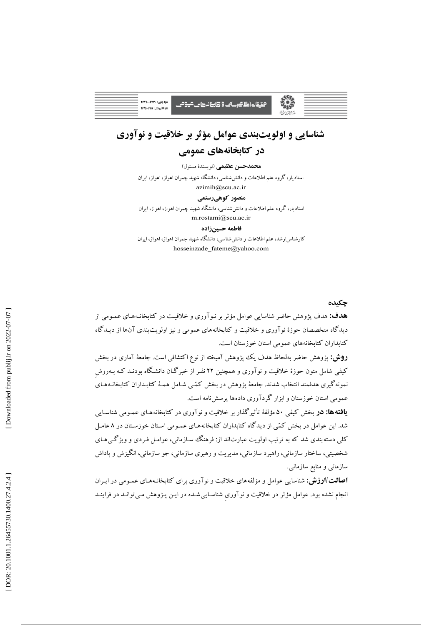<del>ت</del>حقیقات اطلا کرسانٹ 9 <del>30 بن</del>انہ کا کے <del>کرو</del>ھے

# شناسایی و اولویتبندی عوامل مؤثر بر خلاقیت و نوآوری

### در کتابخانههای عمومی

هجمدحسن عظیمی (نویسندهٔ مسئول)

استادبار، گروه علم اطلاعات و دانش شناسی، دانشگاه شهید چمران اهواز، اهواز، ایران azimih@scu.ac.ir

### منصور کوهیرستمی

استادیار، گروه علیم اطلاعات و دانش شناسی، دانشگاه شهید چمران اهواز، اهواز، ایران m.rostami@scu.ac.ir

#### فاطمه حسبن زاده

کارشناس ارشد، علم اطلاعات و دانش شناسی، دانشگاه شهید چمران اهواز، اهواز، ایران hosseinzade fateme@yahoo.com

### جكىدە

**هدف:** هدف پژوهش حاضر شناسایی عوامل مؤثر بر نـوآوری و خلاقیـت در کتابخانـههـای عمـومی از دیدگاه متخصصان حوزهٔ نوآوری و خلاقیت و کتابخانههای عمومی و نیز اولویتبندی آنها از دیـدگاه کتابداران کتابخانههای عمومی استان خوزستان است.

**روش:** پژوهش حاضر بهلحاظ هدف یک پژوهش آمیخته از نوع اکتشافی است. جامعهٔ آماری در بخش کیفی شامل متون حوزهٔ خلاقیت و نوآوری و همچنین ۲۲ نفـر از خبرگـان دانشـگاه بودنـد کـه بـهروش نمونهگیری هدفمند انتخاب شدند. جامعهٔ یژوهش در بخش کمّیی شـامل همـهٔ کتابـداران کتابخانـههـای عمومی استان خوزستان و ابزار گردآوری دادهها پرسشiامه است.

**یافته ها: در** بخش کیفی ۵۰ مؤلفهٔ تأثیرگذار بر خلاقیت و نوآوری در کتابخانه هـای عمـومی شناسـایی شد. این عوامل در بخش کمّی از دیدگاه کتابداران کتابخانههـای عمـومی اسـتان خوزسـتان در ۸ عامـل کلي دسته بندي شد که به تر تيب اولويت عبارتاند از: فرهنگ سـازماني، عوامـل فـردي و ويژگـي هـاي شخصیتی، ساختار سازمانی، راهبرد سازمانی، مدیریت و رهبری سازمانی، جو سازمانی، انگیزش و یاداش سازمانی و منابع سازمانی.

**اصالت /ارزش:** شناسایی عوامل و مؤلفههای خلاقیت و نوآوری برای کتابخانـههـای عمـومی در ایـران انجام نشده بود. عوامل مؤثر در خلاقیت و نوآوری شناسـاییشـده در ایـن پـژوهش مـیتوانـد در فراینـد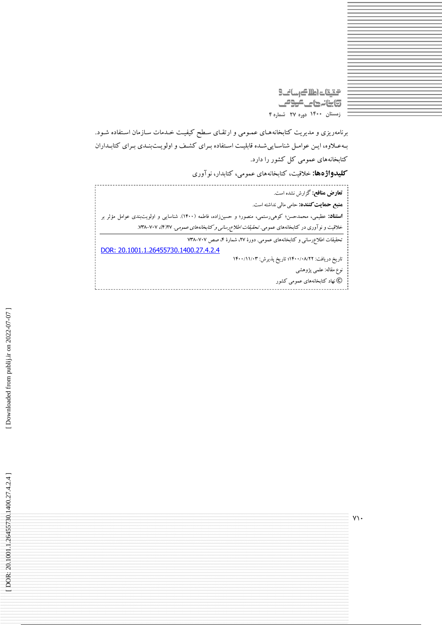التقات اطلاك رسانك **تابنانهای مومی** زمستان ۱۴۰۰ دوره ۲۷ شماره ۴

برنامهریزی و مدیریت کتابخانههـای عمـومی و ارتقـای سـطح کیفیـت خـدمات سـازمان اسـتفاده شـود. به علاوه، ایـن عوامـل شناسـاییشـده قابلیـت اسـتفاده بـرای کشـف و اولویـتبنـدی بـرای کتابـداران کتابخانههای عمومی کل کشور را دارد.

**کلیدواژهها:** خلاقیت، کتابخانههای عمومی، کتابدار، نوآوری

**تعارض منافع:** گزارش نشده است. **منبع حمایت کننده:** حامی مالی نداشته است. **استناد:** عظیمی، محمدحسن؛ کوهیرستمی، منصور؛ و حسینزاده، فاطمه (۱۴۰۰). شناسایی و اولویتبندی عوامل مؤثر بر خلاقیت و نوآوری در کتابخانههای عمومی. *تحقیقات اطلاع رسانی و کتابخانههای عمومی.* ۷۰۷–۷۳۸. ۷۰۷–۷۳۸. تحقیقات اطلاع رسانی و کتابخانههای عمومی. دورهٔ ۲۷، شمارهٔ ۴، صص ۷۰۷–۲۳۸ DOR: 20.1001.1.26455730.1400.27.4.2.4 تاريخ دريافت: ١۴٠٠/٠٨/٢٢؛ تاريخ پذيرش: ١۴٠٠/١١/٠٣ نوع مقاله: علمي پژوهشي

© نهاد کتابخانههای عمومی کشور

 $Y\mathcal{V}$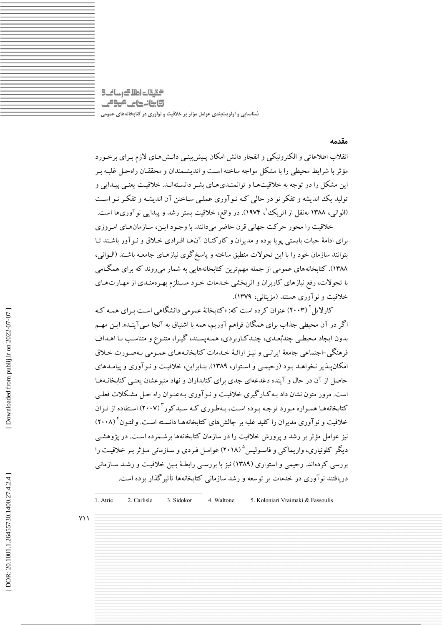التقات اطلاك رسانك وابنانها مكومي .<br>شناسایی و اولویتبندی عوامل مؤثر بر خلاقیت و نوآوری در کتابخانههای عمومی

#### مقدمه

انقلاب اطلاعاتی و الکترونیکی و انفجار دانش امکان پـیش بینـی دانـش۵حای لازم بـرای برخـورد مؤثر با شرایط محیطی را با مشکل مواجه ساخته است و اندیشـمندان و محققـان راهحـل غلبـه بـر این مشکل را در توجه به خلاقیتها و توانمنـدیهـای بشـر دانسـتهانـد. خلاقیـت یعنـی پیـدایی و تولید یک اندیشه و تفکر نو در حالی کـه نـوآوری عملـی سـاختن آن اندیشـه و تفکـر نـو اسـت (الوانبي، ١٣٨٨ بهنقل از اتريك'، ١٩٧۴). در واقع، خلاقيت بستر رشد و پيدايي نوآوريها است.

خلاقیت را محور حرکت جهانی قرن حاضر میدانند. با وجـود ایـن، سـازمانهـای امـروزی برای ادامهٔ حبات پایستی یوپا بوده و مدیران و کارکنیان آنها افیرادی خیلاق و نیو آور باشیند تیا بتوانند سازمان خود را با این تحولات منطبق ساخته و پاسخ گوی نیازهـای جامعـه باشـند (الـوانـی، ۱۳۸۸). کتابخانههای عمومی از جمله مهم ترین کتابخانههایی به شمار میروند که برای همگـامی با تحولات، رفع نیازهای کاربران و اثربخشی خـدمات خـود مسـتلزم بهـرهمنـدی از مهـارتهـای خلاقیت و نو آوری هستند (مزینانی، ۱۳۷۹).

کارلایل ۲۰۰۳) عنوان کرده است که: «کتابخانهٔ عمومی دانشگاهی است بـرای همـه کـه اگر در آن محیطی جذاب برای همگان فراهم آوریم، همه با اشتیاق به آنجا مـیآینـد». ایـن مهـم <sub>.</sub><br>بدون ایجاد محیطبی چندبُعـدی، چنـدکـاربردی، همـه پسـند، گیـرا، متنـوع و متناسـب بـا اهـداف فرهنگی –اجتماعی جامعهٔ ایرانبی و نیـز ارائـهٔ خـدمات کتابخانـههـای عمـومی بـهصـورت خـلاق امکان پیذیر نخواهید بود (رحیمے و استوار، ۱۳۸۹). بنیایراین، خلاقیت و نیو آوری و پیامیدهای حاصل از آن در حال و آینده دغدغهای جدی برای کتابداران و نهاد متبوعشان یعنبی کتابخانـههـا است. مرور متون نشان داد بـه كـارگیری خلاقیـت و نـوآوری بـهعنـوان راه حـل مشـكلات فعلـی کتابخانهها همواره مورد توجه بوده است، بهطوری که سیدکور " (۲۰۰۷) استفاده از توان خلاقیت و نوآوری مدیران را کلید غلبه بر چالش های کتابخانههـا دانسـته اسـت. والتـون ٔ (۲۰۰۸) نیز عوامل مؤثر بر رشد و پرورش خلاقیت را در سازمان کتابخانهها برشـمرده اسـت. در پژوهشـی دیگر کلونیاری، واریماکی و فاسـولیس<sup>۵</sup> (۲۰۱۸) عوامـل فـردی و سـازمانی مـؤثر بـر خلاقیـت را بررسی کردهاند. رحیمی و استواری (۱۳۸۹) نیز با بررسـی رابطـهٔ بـین خلاقیـت و رشـد سـازمانی دریافتند نوآوری در خدمات بر توسعه و رشد سازمانی کتابخانهها تأثیرگذار بوده است.

1. Atric 2. Carlisle 3. Sidokor 4. Waltone 5. Koloniari Vraimaki & Fassoulis

 $Y \setminus$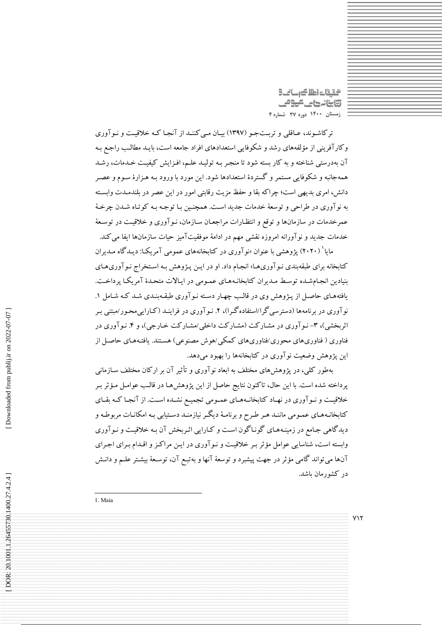گیقات اطلاک رسانت 9 **تابنانهای کوئی** زمستان ١۴٠٠ دوره ٢٧ شماره ۴

ترکاشوند، عـاقلی و تربـتجـو (۱۳۹۷) بیـان مـیکننـد از آنجـا کـه خلاقیـت و نـوآوری وكارآفريني از مؤلفههاي رشد و شكوفايي استعدادهاي افراد جامعه است، بايـد مطالـب راجـع بـه آن بهدرستی شناخته و به کار بسته شود تا منجر بـه تولیـد علـم، افـزایش کیفیـت خـدمات، رشـد همهجانبه و شکوفایی مستمر و گستردهٔ استعدادها شود. این مورد با ورود بـه هـزارهٔ سـوم و عصـر دانش، امری بدیهی است؛ چراکه بقا و حفظ مزیت رقابتی امور در این عصر در بلندمـدت وابسـته به نوآوري در طراحي و توسعهٔ خدمات جديد است. همچنـين بـا توجـه بـه كوتـاه شـدن چرخـهٔ عمرخدمات در سازمانها و توقع و انتظـارات مراجعـان سـازمان، نـوآوري و خلاقيـت در توسـعهٔ خدمات جدید و نوآورانه امروزه نقشی مهم در ادامهٔ موفقیتآمیز حیات سازمانها ایفا می کند.

مایا<sup>۱</sup> (۲۰۲۰) یژوهشی با عنوان «نوآوری در کتابخانههای عمومی آمریکـا: دیـدگاه مـدیران کتابخانه برای طبقهبندی نـوآوریهـا» انجـام داد. او در ایـن پـژوهش بـه اسـتخراج نـوآوریهـای بنیادین انجامشده توسط مدیران کتابخانـههـای عمـومی در ایـالات متحـدهٔ آمریکـا پرداخـت. یافتههای حاصل از پـژوهش وی در قالـب چهـار دسـته نـوآوری طبقـهبنـدی شـد کـه شـامل ۱. نوآوری در برنامهها (دسترسی گرا/استفاده گـرا)، ۲. نـوآوری در فراینـد (کـارایی،محـور/مبتنبی بـر اثربخشی)، ۳- نـوآوری در مشـارکت (مشـارکت داخلی/مشـارکت خـارجی)، و ۴. نـوآوری در فناوری ( فناوریهای محوری/فناوریهای کمکی/هوش مصنوعی) هسـتند. یافتـههـای حاصـل از این پژوهش وضعیت نوآوری در کتابخانهها را بهبود میدهد.

بهطور کلبی، در یژوهش های مختلف به ابعاد نوآوری و تأثیر آن بر ارکان مختلف سـازمانبی پرداخته شده است. با این حال، تاکنون نتایج حاصل از این پژوهشها در قالب عوامـل مـؤثر بـر خلاقیت و نـوآوري در نهـاد كتابخانـههـاي عمـومي تجميـع نشـده اسـت. از آنجـا كـه بقـاي کتابخانـههـاي عمـومي ماننـد هـر طـرح و برنامـهٔ ديگـر نيازمنـد دسـتيابي بـه امکانـات مربوطـه و دیدگاهی جامع در زمینـههـای گونـاگون اسـت و کـارایی اثـربخش آن بـه خلاقیـت و نـوآوری وابسته است، شناسایی عوامل مؤثر بـر خلاقیـت و نـوآوری در ایـن مراکـز و اقـدام بـرای اجـرای آنها می تواند گامی مؤثر در جهت پیشبرد و توسعهٔ آنها و بهتبـع آن، توسـعهٔ بیشـتر علــم و دانـش در کشورمان باشد.

1. Maia

 $Y\setminus Y$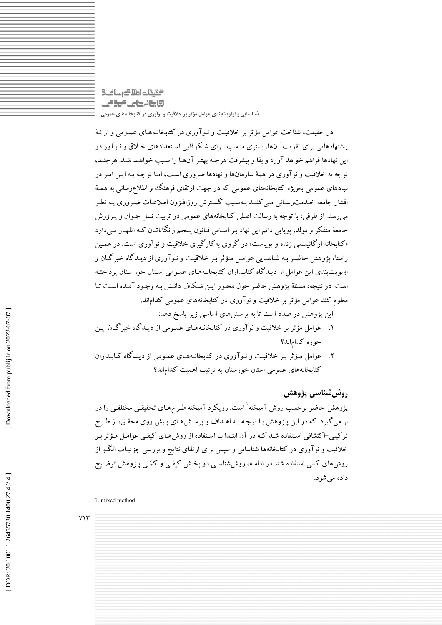### التقات اطلاك رسانك **تابنانهای موص** .<br>شناسایی و اولویتبندی عوامل مؤثر بر خلاقیت و نوآوری در کتابخانههای عمومی

در حقیقت، شناخت عوامل مؤثر بر خلاقیت و نـوآوری در کتابخانـههـای عمـومی و ارائـهٔ پیشنهادهایی برای تقویت آنها، بستری مناسب بـرای شـکوفایی اسـتعدادهای خـلاق و نـوآور در این نهادها فراهم خواهد آورد و بقا و پیشرفت هرچه بهتر آنهـا را سـبب خواهـد شـد. هرچنـد، توجه به خلاقیت و نو آوری در همهٔ سازمانها و نهادها ضروری است، امـا توجـه بـه ایـن امـر در نهادهای عمومی بهویژه کتابخانههای عمومی که در جهت ارتقای فرهنگ و اطلاعرسانی به همـهٔ اقشار جامعه خـدمت رسـاني مـي كننـد بـهسـبـ گسـترش روزافـزون اطلاعـات ضـروري بـه نظـر می رسد. از طرفی، با توجه به رسالت اصلی کتابخانههای عمومی در تربیت نسل جـوان و پـرورش جامعهٔ متفکر و مولد، پویایی دائم این نهاد بـر اسـاس قـانون پـنجم رانگاناتـان کـه اظهـار مـیدارد «کتابخانه ارگانیسمی زنده و یویاست» در گروی به کارگیری خلاقیت و نوآوری است. در همین راستا، پژوهش حاضیر به شناسایی عوامل مؤثر بیر خلاقیت و نیوآوری از دیبدگاه خبرگیان و اولو پت بندی این عوامل از دیپدگاه کتابیداران کتابخانیههای عمیومی استان خوزستان پرداختیه است. در نتیجه، مسئلهٔ پژوهش حاضر حول محـور ایــن شـکاف دانــش بــه وجـود آمــده اســت تــا معلوم کند عوامل مؤثر بر خلاقیت و نو آوری در کتابخانههای عمومی کداماند.

این پژوهش در صدد است تا به پرسش های اساسی زیر پاسخ دهد:

- ۱. عوامل مؤثر بر خلاقیت و نوآوری در کتابخانـههـای عمـومی از دیـدگاه خبرگـان ایـن حوزه كداماند؟
- ۲. عوامل مؤثر به خلاقیت و نـوآوری در کتابخانـههـای عمـومی از دیـدگاه کتابـداران کتابخانههای عمومی استان خوزستان به ترتیب اهمیت کداماند؟

### روش شناسی پژوهش

یژوهش حاضر برحسب روش آمیخته<sup>۱</sup> است. رویکرد آمیخته طرحهـای تحقیقـی مختلفـی را در بر می گیرد که در این پـژوهش بـا توجـه بـه اهـداف و پرسـش۹اي پـیش روي محقـق، از طـرح ترکیبی-اکتشافی استفاده شـد کـه در آن ابتـدا بـا اسـتفاده از روشهـای کیفـی عوامـل مـؤثر بـر خلاقیت و نوآوری در کتابخانهها شناسایی و سپس برای ارتقای نتایج و بررسی جزئیـات الگــو از روشهای کمی استفاده شد. در ادامـه، روششناسـی دو بخـش کیفـی و کمّـی پـژوهش توضـیح داده می شود.

 $YY'$ 

<sup>1.</sup> mixed method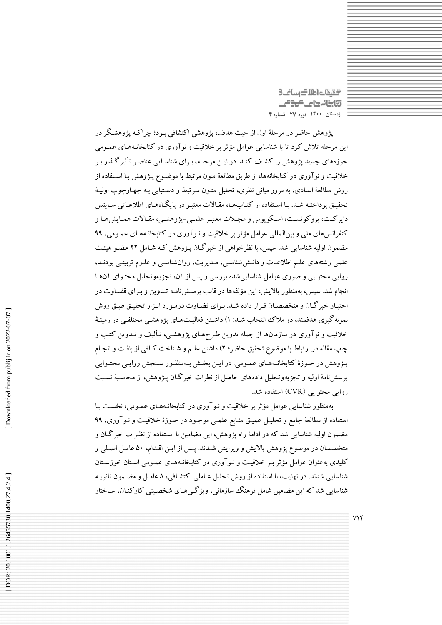التالي كالعام تقيقت **تابنانهای موص** زمستان ١۴٠٠ دوره ٢٧ شماره ۴

پژوهش حاضر در مرحلهٔ اول از حیث هدف، پژوهشی اکتشافی بـود؛ چراکـه پژوهشـگر در این مرحله تلاش کرد تا با شناسایی عوامل مؤثر بر خلاقیت و نوآوری در کتابخانـههـای عمـومی حوزههای جدید پژوهش را کشف کنـد. در ایـن مرحلـه، بـرای شناسـایی عناصـر تأثیرگـذار بـر خلاقیت و نوآوری در کتابخانهها، از طریق مطالعهٔ متون مرتبط با موضـوع پـژوهش بـا اسـتفاده از روش مطالعهٔ اسنادی، به مرور مبانی نظری، تحلیل متـون مـرتبط و دسـتیابی بـه چهـارچوب اولیـهٔ تحقیق پرداختـه شـد. بـا اسـتفاده از کتـابهـا، مقـالات معتبـر در پایگـاههـای اطلاعـاتی سـاینس دایر کـت، یروکوئسـت، اسـکویوس و مجـلات معتبـر علمـی-پژوهشـی، مقـالات همـایش۱مـا و کنفرانس های ملی و بین المللی عوامل مؤثر بر خلاقیت و نـو آوری در کتابخانـههـای عمـومی، ۹۹ مضمون اولیه شناسایی شد. سپس، با نظرخواهی از خبر گـان پـژوهش کـه شـامل ۲۲ عضـو هیئـت علمی رشتههای علـم اطلاعـات و دانـششاسـی، مـدیریت، روانشناسـی و علـوم تربیتـی بودنـد، روایی محتوایی و صوری عوامل شناساییشده بررسی و پس از آن، تجزیهوتحلیل محتـوای آنهـا انجام شد. سپس، بهمنظور پالایش، این مؤلفهها در قالب پرسـشiامـه تـدوین و بـرای قضـاوت در اختیـار خبر گـان و متخصصـان قـرار داده شـد. بـراي قضـاوت درمـورد ابـزار تحقيـق طبـق روش نمونهگیری هدفمند، دو ملاک انتخاب شـد: ۱) داشـتن فعالیـتهـای پژوهشـی مختلفـی در زمینـهٔ خلاقیت و نوآوری در سازمانها از جمله تدوین طرحهـای یژوهشـی، تـألیف و تـدوین کتـب و چاپ مقاله در ارتباط با موضوع تحقیق حاضر؛ ۲) داشتن علـم و شـناخت کـافی از بافـت و انجـام پـژوهش در حـوزهٔ کتابخانـههـای عمـومی. در ایـن بخـش بـهمنظـور سـنجش روایـی محتـوایی يرسش نامهٔ اوليه و تجزيه وتحليل دادههاي حاصل از نظرات خبر گـان پـژوهش، از محاسـبهٔ نسـبت روایی محتوایی (CVR) استفاده شد.

بهمنظور شناسایی عوامل مؤثر بر خلاقیت و نـوآوری در کتابخانـههـای عمـومی، نخسـت بـا استفاده از مطالعهٔ جامع و تحلیـل عمیـق منـابع علمـی موجـود در حـوزهٔ خلاقیـت و نـوآوری، ۹۹ مضمون اولیه شناسایی شد که در ادامهٔ راه پژوهش، این مضامین با استفاده از نظرات خبر گـان و متخصصان در موضوع پژوهش پالایش و ویرایش شـدند. پـس از ایـن اقـدام، ۵۰ عامـل اصـلی و کلیدی بهعنوان عوامل مؤثر بـر خلاقیـت و نـوآوری در کتابخانـههـای عمـومی اسـتان خوزسـتان شناسایی شدند. در نهایت، با استفاده از روش تحلیل عـاملی اکتشـافی، ۸عامـل و مضـمون ثانویـه شناسایی شد که این مضامین شامل فرهنگ سازمانی، ویژگی هـای شخصـیتی کارکنـان، سـاختار

 $YY$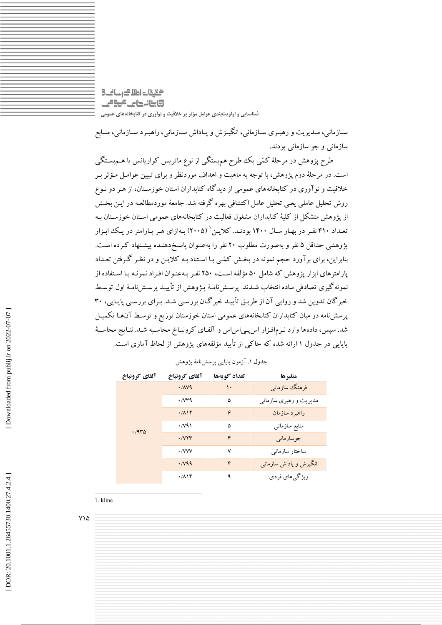التقيقات اطلاك رساني 3 **تابنانهای موص** شناسایی و اولویتبندی عوامل مؤثر بر خلاقیت و نوآوری در کتابخانههای عمومی

ســازمانی، مــديريت و رهبــري ســازماني، انگيــزش و پــاداش ســازماني، راهبــرد ســازماني، منــابع سازمانی و جو سازمانی بودند.

طرح پژوهش در مرحلهٔ کمّی یک طرح هم.بستگی از نوع ماتریس کواریانس یا هــم.بسـتگی است. در مرحلهٔ دوم پژوهش، با توجه به ماهیت و اهداف موردنظر و برای تبیین عوامـل مـؤثر بـر خلاقیت و نوآوری در کتابخانههای عمومی از دیدگاه کتابداران استان خوزسـتان، از هـر دو نـوع روش تحلیل عاملی یعنی تحلیل عامل اکتشافی بهره گرفته شد. جامعهٔ موردمطالعـه در ایــن بخـش از یژوهش متشکل از کلیهٔ کتابداران مشغول فعالیت در کتابخانههای عمومی اسـتان خوزسـتان بـه تعـداد ۴۱۰ نفـر در بهـار سـال ۱۴۰۰ بودنـد. كلايـن ` (۲۰۰۵) بـهازاي هـر يـارامتر در يـك ابـزار پژوهشی حداقل ۵ نفر و بهصورت مطلوب ۲۰ نفر را بهعنـوان پاسـخردهنـده پیشـنهاد کـرده اسـت. بنابراین، برای برآورد حجم نمونه در بخش کمّـی بـا اسـتناد بـه کلایـن و در نظـر گـرفتن تعـداد یارامترهای ابزار یژوهش که شامل ۵۰ مؤلفه است، ۲۵۰ نفـر بـهعنـوان افـراد نمونـه بـا اسـتفاده از نمونه گیری تصادفی ساده انتخاب شـدند. پرســشiامـهٔ پــژوهش از تأییــد پرســشiامـهٔ اول توسـط خبرگان تدوین شد و روایی آن از طریـق تأییـد خبرگـان بررسـی شـد. بـرای بررسـی پایـایی، ۳۰ پرسشنامه در میان کتابداران کتابخانههای عمومی استان خوزستان توزیع و توسط آنهـا تکمیـل شد. سیس، دادهها وارد نـرمافـزار اس یـی|س|س و آلفـای کرونبـاخ محاسـبه شـد. نتـایج محاسـبهٔ پایایی در جدول ۱ارائه شده که حاکی از تأیید مؤلفههای پژوهش از لحاظ ِ آماری است.

| آلفاي كرونباخ | آلفاي كرونباخ                 | تعداد گويهها | متغيرها                 |
|---------------|-------------------------------|--------------|-------------------------|
|               | .111                          | ١٠           | فرهنگ سازمانبي          |
|               | $\cdot$ / $\vee$ $\uparrow$ 9 | ۵            | مدیریت و رهبری سازمانبی |
|               | .711                          | ۶            | راهبرد سازمان           |
| .440          | $\cdot$ / $\vee$ 9)           | ۵            | منابع سازمانى           |
|               | .7YY                          | ۴            | جوسازمانى               |
|               | $\cdot$ /VVV                  | ٧            | ساختار سازمانى          |
|               | .1199                         | ۴            | انگیزش و پاداش سازمانبی |
|               | .719                          | ٩            | ویژگیهای فردی           |

جدول ۱. آزمون پایایی پرسشiامهٔ یژوهش

1. kline

 $Y\setminus\Delta$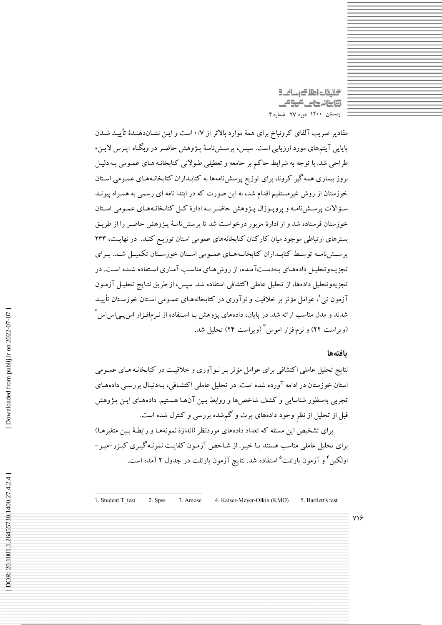گیقات اطلاک رسانگ **تابنانهای موص** زمستان ۱۴۰۰ دوره ۲۷ شماره ۴

مقادیر ضریب آلفای کرونباخ برای همهٔ موارد بالاتر از ۰/۷ است و ایـن نشـاندهنـدهٔ تأییـد شـدن پایایی آیتمهای مورد ارزیابی است. سپس، پرسـشiامـهٔ پـژوهش حاضـر در وبگـاه «پـرس لایـن» طراحی شد. با توجه به شرایط حاکم بر جامعه و تعطیلی طـولانی کتابخانـه هـای عمـومی بـه دلیـل بروز بیماری همه گیر کرونا، برای توزیع پرسشiامهها به کتابـداران کتابخانـههـای عمـومی اسـتان خوزستان از روش غیرمستقیم اقدام شد، به این صورت که در ابتدا نامه ای رسمی به همـراه پیونـد سؤالات پرسشنامـه و پروپـوزال پـژوهش حاضـر بـه ادارهٔ کـل کتابخانـههـای عمـومی اسـتان خوزستان فرستاده شد و از ادارهٔ مزبور درخواست شد تا پرسش نامـهٔ پـژوهش حاضـر را از طریـق بسترهای ارتباطی موجود میان کارکنان کتابخانههای عمومی استان توزیع کنـد. در نهایـت، ۲۳۴ یرســش(امـه توسـط کتابـداران کتابخانــههـای عمـومی اسـتان خوزسـتان تکمیــل شــد. بــرای تجزیـهوتحلیـل دادههـای بـهدسـتآمـده، از روش۵ـای مناسـب آمـاری اسـتفاده شـده اسـت. در تجزیهوتحلیل دادهها، از تحلیل عاملی اکتشافی استفاده شد. سپس، از طریق نتـایج تحلیـل آزمـون آزمون تبی<sup>'</sup>، عوامل مؤثر بر خلاقیت و نوآوری در کتابخانههـای عمـومی اسـتان خوزسـتان تأییــد شدند و مدل مناسب ارائه شد. در پایان، دادههای پژوهش بـا اسـتفاده از نـرمافـزار اس پـی|س|س <sup>۲</sup> (ویراست ۲۲) و نرمافزار اموس<sup>۳</sup> (ویراست ۲۴) تحلیل شد.

#### بافتهها

نتایج تحلیل عاملی اکتشافی برای عوامل مؤثر بـر نـوآوری و خلاقیـت در کتابخانـه هـای عمـومی استان خوزستان در ادامه آورده شده است. در تحلیل عاملی اکتشـافی، بـهدنبـال بررسـی دادههـای تجربی بهمنظور شناسایی و کشف شاخصها و روابط بـین آنهـا هسـتیم. دادههـای ایـن پـژوهش قبل از تحلیل از نظر وجود دادههای پرت و گمشده بررسی و کنترل شده است.

برای تشخیص این مسئله که تعداد دادههای موردنظر (اندازهٔ نمونههـا و رابطـهٔ بـین متغیرهـا) برای تحلیل عاملی مناسب هستند یـا خیـر. از شـاخص آزمـون کفایـت نمونـه گیـری کیـزر-میـر-اولکین<sup>۴</sup> و آزمون بارتلت<sup>۵</sup> استفاده شد. نتایج آزمون بارتلت در جدول ۲ آمده است.

1. Student T test 2. Spss 3. Amose 4. Kaiser-Meyer-Olkin (KMO) 5. Bartlett's test

 $Y\$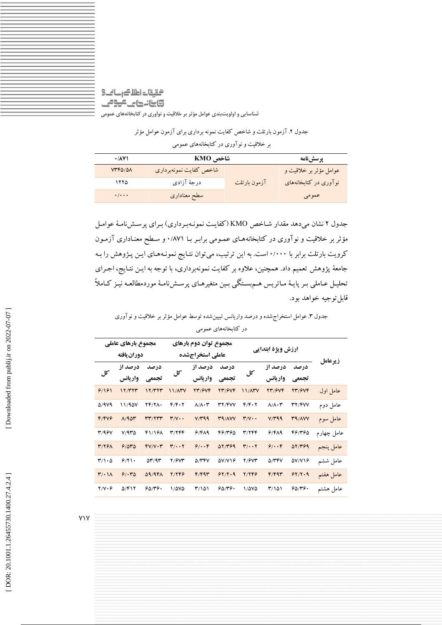### التالي كالعام لتيقت **تابنانہ حالے موقف** شناسایی و اولویتبندی عوامل مؤثر بر خلاقیت و نوآوری در کتابخانههای عمومی

جدول ۲. آزمون بارتلت و شاخص کفایت نمونه برداری برای آزمون عوامل مؤثر بر خلاقیت و نوآوری در کتابخانههای عمومی

| $\cdot$ / $\lambda$ Y)    | شاخص KMO               |              | پرسشنامه               |
|---------------------------|------------------------|--------------|------------------------|
| $VTF\Delta/\Delta\Lambda$ | شاخص كفايت نمونهبرداري |              | عوامل مؤثر بر خلاقیت و |
| ۱۲۲۵                      | درجهٔ آزادی            | آزمون بارتلت | نوآوری در کتابخانههای  |
| $\cdot/\cdot\cdot\cdot$   | سطح معناداري           |              | عمومي                  |

جدول ۲ نشان می دهد مقدار شـاخص KMO (کفایـت نمونـهبـرداری) بـرای پرسـش(نامـهٔ عوامـل مؤثر بر خلاقیت و نوآوری در کتابخانههای عمـومی برابـر بـا ۰/۸۷۱ و سـطح معنـاداری آزمـون کرویت بارتلت برابر با ۱٬۰۰۰ است. به این ترتیب، می توان نتایج نمونـههـای ایـن پـژوهش را بـه جامعهٔ پژوهش تعمیم داد. همچنین، علاوه بر کفایت نمونهبرداری، با توجه به ایـن نتـایج، اجـرای تحلیـل عـاملی بـر پایـهٔ مـاتریس هـمېسـتگي بـین متغیرهـای پرسـشiامـهٔ موردمطالعـه نیـز کـاملاً قابل توجيه خواهد بود.

جدول ۳. عوامل استخراج شده و درصد واریانس تبیین شده توسط عوامل مؤثر بر خلاقیت و نوآوری

| مجموع بارهای عاملی<br>مجموع توان دوم بارهای<br>دوران يافته<br>عاملي استخراجشده |               |                |                                   | ارزش ویژهٔ ابتدایی         |                   |                                   |                            |               |            |
|--------------------------------------------------------------------------------|---------------|----------------|-----------------------------------|----------------------------|-------------------|-----------------------------------|----------------------------|---------------|------------|
| کا ،                                                                           | درصد از       | در صد          | کل                                | درصد از                    | درصد              | کل                                | در صد از                   | در صد         | زيرعامل    |
|                                                                                | واريانس       | تجمعي          |                                   | واريانس                    | تجمعي             |                                   | واريانس                    | تجمعي         |            |
| 9/191                                                                          | 17/TTT        | 17/TTT         | 11/ATV                            | <b>TT/9VF</b>              | $YY/\mathcal{V}Y$ | 11/ATV                            | 23/674                     | <b>TT/9VF</b> | عامل اول   |
| 5/979                                                                          | 11/900        | 14/11.         | $f/f \cdot 7$                     | $\Lambda/\Lambda\cdot\tau$ | <b>TY/FVV</b>     | $f/f\cdot y$                      | $\lambda/\lambda\cdot\tau$ | <b>۳۲/۴۷۷</b> | عامل دوم   |
| F/FV9                                                                          | A/90r         | rr/rrr         | $Y/V \cdot \cdot$                 | V/T99                      | <b>TA/AVV</b>     | $r/v \cdot$                       | V/T99                      | <b>TA/AVV</b> | عامل سوم   |
| <b>٣/٩۶٧</b>                                                                   | V/970         | 41/168         | 31744                             | 9/FA9                      | 461460            | 31144                             | 6/419                      | 461460        | عامل چهارم |
| <b>٣/٢۶٨</b>                                                                   | 9/040         | $fV/V \cdot r$ | $\mathbf{r}/\cdot\cdot\mathbf{r}$ | 9/4.6                      | 07/٣۶٩            | $\mathbf{r}/\cdot\cdot\mathbf{r}$ | 9/4.6                      | 07/٣۶٩        | عامل پنجم  |
| $\mathsf{r}_1\mathsf{r}_2$                                                     | 9/7           | $\Delta r/9r$  | 7/6V۳                             | 5/۳۴۷                      | $\Delta V/V$      | Y/9VY                             | <b>D/۳۴V</b>               | $\Delta V/V$  | عامل ششم   |
| $\mathbf{r}/\cdot$ 11                                                          | 9/140         | <b>09/981</b>  | Y/ Y F P                          | F/F9r                      | 97/7.9            | 2/748                             | F/F9r                      | 97/7.9        | عامل هفتم  |
| $Y/Y \cdot Y$                                                                  | $\Delta$ /۴۱۲ | 90/79.         | 1/070                             | 31101                      | 50/19.            | 1/0V                              | 31101                      | 90/79.        | عامل هشتم  |
|                                                                                |               |                |                                   |                            |                   |                                   |                            |               |            |

در کتابخانههای عمومی

**YIY**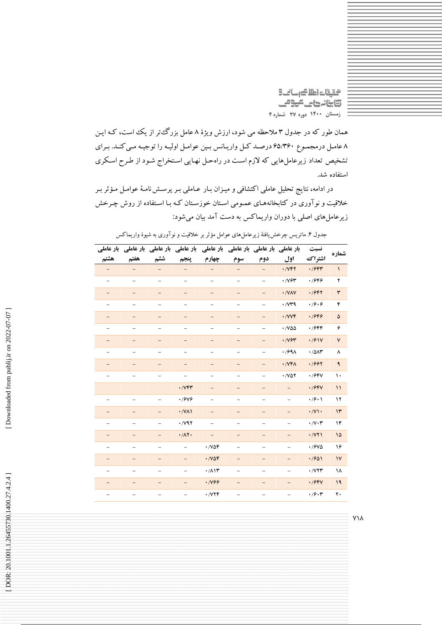التقات اطلاك رسانك **تابنانهای مومی** زمستان ۱۴۰۰ دوره ۲۷ شماره ۴

همان طور که در جدول ۳ ملاحظه می شود، ارزش ویژهٔ ۸ عامل بزرگءتر از یک است، کـه ایـن ۸ عامل درمجموع ۶۵/۳۶۰ درصد کل واریانس بین عوامل اولیه را توجیه میکند. برای تشخیص تعداد زیرعامل هایی که لازم است در راهحل نهایی استخراج شود از طرح اسکری استفاده شد.

در ادامه، نتایج تحلیل عاملی اکتشافی و میـزان بـار عـاملی بـر پرسـش نامـهٔ عوامـل مـؤثر بـر خلاقیت و نوآوری در کتابخانههـای عمـومی اسـتان خوزسـتان کـه بـا اسـتفاده از روش چـرخش زیرعامل های اصلی با دوران واریماکس به دست آمد بیان میشود:

|                   |                   |                          |                          | بار عاملی بار عاملی بار عاملی بار عاملی بار عاملی بار عاملی بار عاملی بار عاملی |                          |                          |                                        | نسبت                                   | شماره         |
|-------------------|-------------------|--------------------------|--------------------------|---------------------------------------------------------------------------------|--------------------------|--------------------------|----------------------------------------|----------------------------------------|---------------|
| هشتم              | هفتم              | ششم                      | پنجم                     | چهارم                                                                           | سوم                      | دوم                      | اول                                    | اشتراك                                 |               |
|                   |                   |                          |                          |                                                                                 |                          |                          | $\cdot$ / $\vee$ $\uparrow$ $\uparrow$ | $\cdot$ /۶۴۳                           | $\lambda$     |
|                   |                   |                          |                          |                                                                                 |                          |                          | $\cdot$ / $\vee$ $\sim$                | ۰/۶۴۶                                  | ۲             |
|                   |                   |                          |                          |                                                                                 |                          |                          | · /VAV                                 | .1947                                  | ٣             |
| -                 |                   | $\overline{\phantom{0}}$ |                          |                                                                                 |                          |                          | $\cdot$ / $\vee\uparrow\uparrow$       | .79.9                                  | ۴             |
|                   |                   |                          |                          |                                                                                 |                          |                          | ·/VVF                                  | .1949                                  | ۵             |
|                   |                   |                          |                          |                                                                                 |                          |                          | $\cdot$ /V۵۵                           | ۰/۶۴۴                                  | ۶             |
|                   |                   |                          |                          |                                                                                 |                          |                          | $\cdot$ / $\gamma$ ۶۳                  | .791V                                  | ٧             |
| -                 |                   |                          |                          |                                                                                 |                          |                          | $\cdot$ /۶۹۸                           | .701                                   | ٨             |
|                   |                   |                          |                          |                                                                                 |                          |                          | $\cdot$ / $VFA$                        | .7997                                  | ٩             |
|                   |                   |                          |                          |                                                                                 |                          |                          | $\cdot$ / $\vee$ $\circ$ $\circ$       | .19FV                                  | ١.            |
|                   |                   |                          | $\cdot$ / $V$ $\uparrow$ |                                                                                 |                          |                          |                                        | .799V                                  | $\mathcal{L}$ |
|                   |                   |                          | $\cdot$ /9 $\vee$ 9      |                                                                                 |                          |                          |                                        | $\cdot$ /9 $\cdot$ )                   | ۱۲            |
|                   |                   |                          | $\cdot$ /VAI             |                                                                                 |                          |                          |                                        | $\cdot$ / $\vee$                       | $\mathsf{h}$  |
|                   |                   |                          | $\cdot$ / $\vee$ 97      |                                                                                 |                          |                          |                                        | $\cdot/\vee\cdot\curlyvee$             | ۱۴            |
| $\qquad \qquad -$ |                   | $\overline{\phantom{0}}$ | $\cdot/\Lambda$ ۲.       | $\qquad \qquad -$                                                               | $\qquad \qquad -$        | $\overline{\phantom{0}}$ | $\qquad \qquad -$                      | $\cdot$ / $\vee\uparrow\uparrow$       | ۱۵            |
| -                 |                   | $\overline{\phantom{0}}$ |                          | $\cdot$ / $\vee$ $\circ$ $\circ$                                                | -                        | -                        |                                        | $\cdot$ / $9\vee\Diamond$              | ۱۶            |
|                   |                   |                          |                          | .708                                                                            |                          |                          |                                        | .7801                                  | $\mathsf{V}$  |
|                   |                   |                          |                          | $\cdot/\lambda$                                                                 | $\overline{\phantom{0}}$ |                          |                                        | $\cdot$ / $\vee$ $\uparrow$ $\uparrow$ | ۱۸            |
| $\qquad \qquad -$ |                   | —                        |                          | · 1899                                                                          | $\qquad \qquad -$        | —                        |                                        | .19FV                                  | 19            |
| $\qquad \qquad -$ | $\qquad \qquad -$ | $\qquad \qquad -$        | $\qquad \qquad -$        | ۰/۷۲۴                                                                           | $\overline{\phantom{0}}$ | $\overline{\phantom{0}}$ | $\qquad \qquad -$                      | ۰٬۶۰۳                                  | ٢٠            |

جدول ۴. ماتریس چرخش یافتهٔ زیرعاملهای عوامل مؤثر بر خلاقیت و نوآوری به شیوهٔ واریماکس

**Y\A**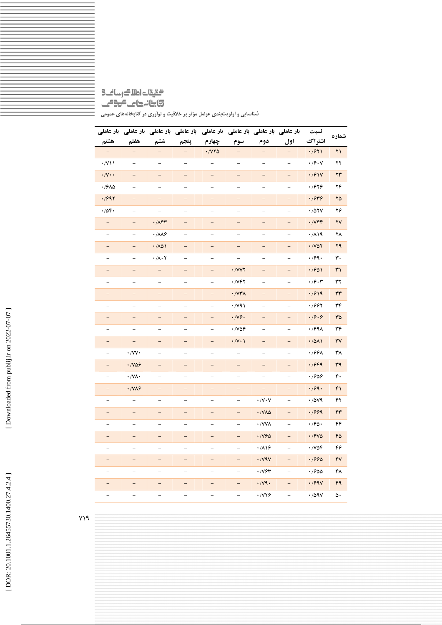## $\text{S}\_ \text{Lip} \_ \text{Lip} \_ \text{Lip} \_ \text{Lip} \_ \text{S}$ **تابنانهای موص** شناسایی و اولویتبندی عوامل مؤثر بر خلاقیت و نوآوری در کتابخانههای عمومی

|                                                                           |                                   |                                 | بار عاملی بار عاملی بار عاملی بار عاملی |                                   | بار عاملی بار عاملی بار عاملی بار عاملی |                                  |                          | نسبت                                   | شماره                  |
|---------------------------------------------------------------------------|-----------------------------------|---------------------------------|-----------------------------------------|-----------------------------------|-----------------------------------------|----------------------------------|--------------------------|----------------------------------------|------------------------|
| هشتم                                                                      | هفتم                              | ششم                             | پنجم                                    | چهارم                             | سوم                                     | دوم                              | اول                      | اشتراك                                 |                        |
|                                                                           |                                   |                                 |                                         | $\cdot$ / $\vee\vee\wedge$        |                                         | $\overline{\phantom{0}}$         | $\qquad \qquad -$        | .7971                                  | ۲۱                     |
| $\cdot$ /V \ \                                                            | $\overline{\phantom{0}}$          | $\qquad \qquad -$               | $\qquad \qquad -$                       | $\overline{\phantom{0}}$          | $\overline{\phantom{0}}$                | $\overline{\phantom{0}}$         | $\overline{\phantom{0}}$ | $\cdot$ / $\mathcal{S}\cdot\mathsf{V}$ | ۲۲                     |
| $\cdot/\mathsf{V}\cdot\cdot$                                              | $\overline{\phantom{0}}$          | $\overline{\phantom{0}}$        |                                         | $\overline{a}$                    |                                         | $\qquad \qquad -$                |                          | .791V                                  | ۲۳                     |
| .7910                                                                     | $\overline{\phantom{0}}$          | $\qquad \qquad -$               | $\overline{\phantom{a}}$                | $\overline{\phantom{a}}$          | $\qquad \qquad -$                       | $\overline{\phantom{0}}$         | $\overline{\phantom{0}}$ | ۰/۶۲۶                                  | ۲۴                     |
| .7997                                                                     | $\overline{\phantom{0}}$          | $\qquad \qquad -$               | $\qquad \qquad -$                       | $\qquad \qquad -$                 | $\qquad \qquad -$                       | $\qquad \qquad -$                | $\overline{\phantom{0}}$ | ۰/۶۳۶                                  | ۲۵                     |
| .709.                                                                     |                                   | $\overline{\phantom{0}}$        |                                         |                                   |                                         |                                  | $\overline{\phantom{0}}$ | .701V                                  | ۲۶                     |
| $\overline{\phantom{0}}$                                                  | $\overline{\phantom{0}}$          | $\cdot$ / $\wedge$ Fr           | $\qquad \qquad -$                       | $\qquad \qquad -$                 | $\overline{\phantom{a}}$                | $\qquad \qquad -$                | $\overline{\phantom{0}}$ | $\cdot$ / $VFF$                        | ۲۷                     |
| $\hspace{1.0cm} - \hspace{1.0cm}$                                         | $\overline{\phantom{0}}$          | $\cdot$ / $\wedge\wedge\varphi$ | $\qquad \qquad -$                       | $\qquad \qquad -$                 | $\qquad \qquad -$                       | $\overline{\phantom{0}}$         | $\overline{\phantom{0}}$ | .719                                   | ۲۸                     |
| -                                                                         | $\overline{\phantom{0}}$          | $\cdot$ /101                    |                                         |                                   |                                         | $\overline{\phantom{0}}$         |                          | $\cdot$ / $\vee$ $\circ$ $\circ$       | ۲۹                     |
| $\hspace{1.0cm} - \hspace{1.0cm}$                                         | $\overline{\phantom{0}}$          | $\cdot/\lambda\cdot$ ۲          | $\qquad \qquad -$                       | $\qquad \qquad -$                 | $\frac{1}{2}$                           | $\overline{\phantom{0}}$         | $\overline{\phantom{0}}$ | .799.                                  | ٣٠                     |
| $\overline{\phantom{0}}$                                                  | $\overline{\phantom{0}}$          | $\overline{\phantom{0}}$        | $\qquad \qquad -$                       | $\hspace{1.0cm} - \hspace{1.0cm}$ | $\cdot$ / $V$ $V$ $V$                   | $\qquad \qquad -$                | $\qquad \qquad -$        | .7901                                  | ٣١                     |
| $\overline{\phantom{0}}$                                                  | -                                 | $\overline{\phantom{0}}$        | $\overline{\phantom{0}}$                |                                   | ۰/۷۴۲                                   | -                                | $\overline{\phantom{0}}$ | ۰٬۶۰۳                                  | ٣٢                     |
| $\overline{\phantom{0}}$                                                  | $-$                               | $\qquad \qquad -$               | $\overline{a}$                          | $\qquad \qquad -$                 | $\cdot$ / $\vee\mathbf{r}$              | $\qquad \qquad -$                | $\qquad \qquad -$        | .7919                                  | ٣٣                     |
| $\hspace{1.0cm} \rule{1.5cm}{0.15cm} \hspace{1.0cm} \rule{1.5cm}{0.15cm}$ | $\overline{\phantom{0}}$          | $\qquad \qquad -$               | $\qquad \qquad -$                       | $\overline{\phantom{0}}$          | $\cdot$ / $\vee$ 9 $\wedge$             | $\qquad \qquad -$                | $\overline{\phantom{0}}$ | ۰/۶۶۲                                  | ٣۴                     |
| $\overline{\phantom{0}}$                                                  | -                                 | $\qquad \qquad -$               | $\qquad \qquad -$                       | -                                 | $\cdot$ / $\sqrt{9}$                    | $\qquad \qquad -$                | $\qquad \qquad -$        | $\cdot$ 19 $\cdot$ 9                   | ٣۵                     |
| $\overline{\phantom{0}}$                                                  | $\overline{\phantom{0}}$          | $\overline{\phantom{0}}$        | $\overline{\phantom{0}}$                | $\overline{\phantom{0}}$          | $\cdot$ /VQG                            | $\overline{\phantom{0}}$         | $\overline{\phantom{0}}$ | ۰/۶۹۸                                  | ٣۶                     |
| $\overline{\phantom{0}}$                                                  | $\overline{a}$                    | $\qquad \qquad -$               | $-$                                     | $-$                               | $\cdot/\vee\cdot\wedge$                 | $\overline{\phantom{0}}$         | $\overline{\phantom{0}}$ | .7011                                  | $\mathsf{r}\mathsf{v}$ |
| $\overline{\phantom{0}}$                                                  | $\cdot$ /VV $\cdot$               | -                               | -                                       | -                                 | $\qquad \qquad -$                       | -                                | -                        | $\cdot$ /99 $\wedge$                   | ٣٨                     |
| -                                                                         | $\cdot$ / $\sqrt{09}$             | $\overline{\phantom{0}}$        | $\overline{\phantom{0}}$                | -                                 | $\qquad \qquad -$                       | $\overline{\phantom{0}}$         | $\overline{\phantom{0}}$ | .7999                                  | ٣٩                     |
| $\overline{\phantom{a}}$                                                  | $\cdot$ / $\vee$ $\wedge$ $\cdot$ | $\overline{\phantom{0}}$        | $\overline{\phantom{0}}$                | $\overline{\phantom{0}}$          | $\overline{\phantom{0}}$                | $\qquad \qquad -$                |                          | .7909                                  | ۴.                     |
| $\overline{\phantom{0}}$                                                  | $\cdot$ /VA $\varphi$             | $\overline{\phantom{0}}$        | $\overline{\phantom{0}}$                | $\overline{\phantom{0}}$          | $\qquad \qquad -$                       | $\qquad \qquad -$                | $\overline{\phantom{0}}$ | .799.                                  | ۴۱                     |
| $\overline{\phantom{0}}$                                                  | $\overline{\phantom{0}}$          | $\qquad \qquad -$               | $\qquad \qquad -$                       | $\overline{\phantom{0}}$          | $\overline{\phantom{0}}$                | $\cdot$ /V $\cdot$ V             | $\overline{\phantom{0}}$ | ۷۹/۰۰                                  | ۴۲                     |
|                                                                           | $\overline{\phantom{0}}$          | $\overline{\phantom{0}}$        |                                         |                                   |                                         | $\cdot$ / $\sqrt{\Lambda\Delta}$ | -                        | .7999                                  | $\mathsf{f}\mathsf{r}$ |
| $\overline{\phantom{0}}$                                                  | $\overline{\phantom{0}}$          | $\overline{\phantom{0}}$        | $\overline{\phantom{0}}$                | $\overline{\phantom{0}}$          | $\overline{\phantom{0}}$                | ۰/VV۸                            | $\overline{\phantom{0}}$ | ۰٬۶۵۰                                  | ۴۴                     |
| $\qquad \qquad -$                                                         |                                   | $\qquad \qquad -$               | $\overline{\phantom{0}}$                | $\qquad \qquad -$                 |                                         | $\cdot$ / $\sqrt{90}$            | $\qquad \qquad -$        | .79V                                   | ۴۵                     |
|                                                                           |                                   |                                 |                                         |                                   |                                         | $\cdot$ /116                     |                          | ۷۵۴.                                   | ۴۶                     |
| $\qquad \qquad -$                                                         | $\overline{a}$                    | $\qquad \qquad -$               | $\qquad \qquad -$                       | $\overline{\phantom{0}}$          | $\qquad \qquad -$                       | $\cdot$ / $\vee$ 9 $\vee$        | $\overline{\phantom{0}}$ | .7990                                  | ۴٧                     |
| $\overline{\phantom{0}}$                                                  | $\overline{\phantom{0}}$          | $\overline{\phantom{0}}$        | $\overline{\phantom{0}}$                | $\overline{\phantom{0}}$          |                                         | $\cdot$ / $V$ ۶۳                 | $\overline{\phantom{0}}$ | .7800                                  | ۴۸                     |
|                                                                           | —                                 | -                               |                                         |                                   |                                         | $\cdot$ /v٩ $\cdot$              | $\qquad \qquad -$        | .799V                                  | ۴۹                     |
| $\overline{\phantom{0}}$                                                  | $\overline{\phantom{0}}$          | $\overline{\phantom{0}}$        | $\overline{\phantom{0}}$                | $\overline{\phantom{0}}$          |                                         | ۰/۷۲۶                            | $\overline{\phantom{0}}$ | $\cdot$ /09 $V$                        | ۵۰                     |

 $Y$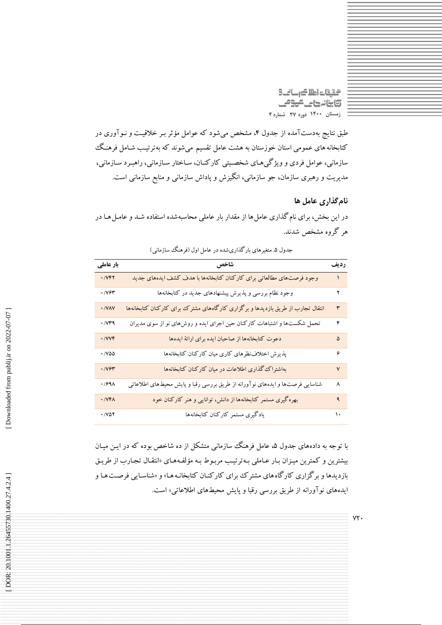التقات اطلاك رسانك **تابنانهای موص** زمستان ١۴٠٠ دوره ٢٧ شماره ۴

طبق نتایج بهدستآمده از جدول ۴، مشخص میشود که عوامل مؤثر بـر خلاقیـت و نـوآوری در کتابخانه های عمومی استان خوزستان به هشت عامل تقسیم میشوند که بهترتیب شـامل فرهنگک سازمانی، عوامل فردی و ویژگیهای شخصیتی کارکنـان، سـاختار سـازمانی، راهبـرد سـازمانی، مدیریت و رهبری سازمان، جو سازمانی، انگیزش و پاداش سازمانی و منابع سازمانی است.

نام گذاری عامل ها

در این بخش، برای نام گذاری عامل ها از مقدار بار عاملی محاسبهشده استفاده شـد و عامـل هـا در هر گروه مشخص شدند.

| بار عاملی                           | شاخص                                                                            | رديف         |
|-------------------------------------|---------------------------------------------------------------------------------|--------------|
| $\cdot$ / $V$ $\uparrow$ $\uparrow$ | وجود فرصتهاى مطالعاتي براي كاركنان كتابخانهها با هدف كشف ايدههاي جديد           |              |
| 747.                                | وجود نظام بررسی و پذیرش پیشنهادهای جدید در کتابخانهها                           | ۲            |
| · /VAV                              | انتقال تجارب از طریق بازدیدها و برگزاری کارگاههای مشترک برای کارکنان کتابخانهها | ٣            |
| $\cdot$ / $\vee\uparrow$ 9          | تحمل شکستها و اشتباهات کارکنان حین اجرای ایده و روشهای نو از سوی مدیران         | ۴            |
| $\cdot$ / $V$ $V$ $\circ$           | دعوت كتابخانهها از صاحبان ايده براى ارائهٔ ايدهها                               | ۵            |
| $\cdot$ /VQQ                        | پذیرش اختلاف نظرهای کاری میان کارکنان کتابخانهها                                | ۶            |
| $\cdot$ / $\gamma$                  | بهاشتراک گذاری اطلاعات در میان کارکنان کتابخانهها                               | $\checkmark$ |
| $\cdot$ /991                        | شناسایی فرصتها و ایدههای نوآورانه از طریق بررسی رقبا و پایش محیطهای اطلاعاتی    | ٨            |
| · /VFA                              | بهرهگیری مستمر کتابخانهها از دانش، توانایی و هنر کارکنان خود                    | ٩            |
| $\cdot$ / $\vee$ $\circ$ $\circ$    | يادگيري مستمر كاركنان كتابخانهها                                                | ١٠           |

جدول ۵. متغیرهای بارگذاریشده در عامل اول (فرهنگ سازمانی)

با توجه به دادههای جدول ۵، عامل فرهنگ سازمانی متشکل از ده شاخص بوده که در ایـن میـان بیشترین و کمترین میـزان بـار عـاملی بـهترتیـب مربـوط بـه مؤلفـههـای «انتقـال تجـارب از طریـق .<br>بازدیدها و بر گزاری کارگاه های مشترک برای کارکنـان کتابخانـه هـا» و «شناسـایی فرصـت هـا و ایدههای نوآورانه از طریق بررسی رقبا و پایش محیطهای اطلاعاتی» است.

 $YY.$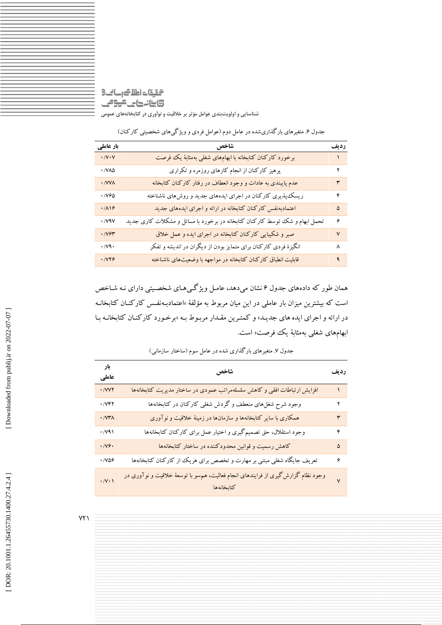### التالي كالعام لتيقت **تابنانداس مومی** شناسایی و اولویتبندی عوامل مؤثر بر خلاقیت و نوآوری در کتابخانههای عمومی

| بار عاملی                        | شاخص                                                                        | رديف         |
|----------------------------------|-----------------------------------------------------------------------------|--------------|
| $\cdot$ / $V\cdot V$             | برخورد کارکنان کتابخانه با ابهامهای شغلی بهمثابهٔ یک فرصت                   |              |
| $\cdot$ / $\sqrt{\lambda\Delta}$ | پرهیز کارکنان از انجام کارهای روزمره و تکراری                               | ۲            |
| · / VV A                         | عدم پایبندی به عادات و وجود انعطاف در رفتار کارکنان کتابخانه                | ٣            |
| $\cdot$ / $V90$                  | ریسک پذیری کارکنان در اجرای ایدههای جدید و روشهای ناشناخته                  | ۴            |
| .719                             | اعتمادبهنفس کارکنان کتابخانه در ارائه و اجرای ایدههای جدید                  | ۵            |
| $\cdot$ / $\vee$ 9 $\vee$        | تحمل ابهام و شک توسط کارکنان کتابخانه در برخورد با مسائل و مشکلات کاری جدید | ۶            |
| 7471 .                           | صبر و شکیبایی کارکنان کتابخانه در اجرای ایده و عمل خلاق                     | $\mathsf{V}$ |
| $\cdot$ /v٩ $\cdot$              | انگیزهٔ فردی کارکنان برای متمایز بودن از دیگران در اندیشه و تفکر            | ٨            |
| · /VY9                           | قابلیت انطباق کارکنان کتابخانه در مواجهه با وضعیتهای ناشناخته               | ٩            |
|                                  |                                                                             |              |

جدول ۶. متغیرهای بارگذاریشده در عامل دوم (عوامل فردی و ویژگیهای شخصیتی کارکنان)

همان طور که دادههای جدول ۶ نشان میدهد، عامل ویژگیههای شخصیتی دارای نـه شـاخص است که بیشترین میزان بار عاملی در این میان مربوط به مؤلفهٔ »اعتمادبـهنفـس کارکنـان کتابخانـه در ارائه و اجرای ایده های جدیـد» و کمتـرین مقـدار مربـوط بـه «برخـورد کارکنـان کتابخانـه بـا ابهامهای شغل<sub>ی</sub> بهمثابهٔ یک<sup>ی</sup> فرصت» است.

| بار<br>عاملي             | شاخص                                                                                             | رديف         |
|--------------------------|--------------------------------------------------------------------------------------------------|--------------|
| $\cdot$ /VVY             | افزایش ارتباطات افقی و کاهش سلسلهمراتب عمودی در ساختار مدیریت کتابخانهها                         |              |
| 7۳۲ ۰                    | وجود شرح شغل۵ای منعطف و گردش شغلی کارکنان در کتابخانهها                                          | ۲            |
| $\cdot$ / $VT$ $\wedge$  | همکاری با سایر کتابخانهها و سازمانها در زمینهٔ خلاقیت و نوآوری                                   | ٣            |
| $\cdot$ / $\vee$ 9)      | وجود استقلال، حق تصمیم گیری و اختیار عمل برای کارکنان کتابخانهها                                 | ۴            |
| $\cdot$ /V۶ $\cdot$      | کاهش رسمیت و قوانین محدودکننده در ساختار کتابخانهها                                              | ۵            |
| $\cdot$ /VQG             | تعریف جایگاه شغلی مبتنی بر مهارت و تخصص برای هریک از کارکنان کتابخانهها                          | ۶            |
| $\cdot$ / $\vee$ $\cdot$ | وجود نظام گزارش گیری از فرایندهای انجام فعالیت، هم سو با توسعهٔ خلاقیت و نوآوری در<br>كتابخانهها | $\checkmark$ |

جدول ۷. متغیرهای بارگذاری شده در عامل سوم (ساختار سازمانی)

 $YY$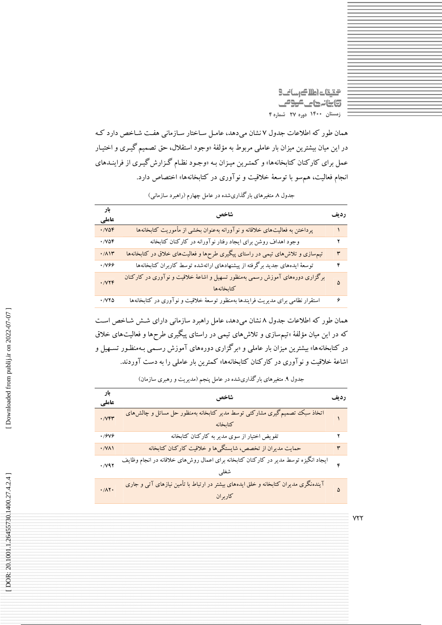التقات اطلاك رسانك **تابنانهای مومی** زمستان ۱۴۰۰ دوره ۲۷ شماره ۴

همان طور که اطلاعات جدول ۷ نشان میدهد، عامـل سـاختار سـازمانی هفـت شـاخص دارد کـه در این میان بیشترین میزان بار عاملی مربوط به مؤلفهٔ «وجود استقلال، حق تصمیم گیـری و اختیـار عمل برای کارکنان کتابخانهها» و کمتـرین میـزان بـه «وجـود نظـام گـزارش گیـری از فراینـدهای انجام فعالیت، هم سو با توسعهٔ خلاقیت و نوآوری در کتابخانهها» اختصاص دارد.

| بار<br>عاملي                     | شاخص                                                                                       | رديف |
|----------------------------------|--------------------------------------------------------------------------------------------|------|
| .708                             | پرداختن به فعالیتهای خلاقانه و نوآورانه بهعنوان بخشی از مأموریت کتابخانهها                 |      |
| $\cdot$ / $\vee$ $\circ$ $\circ$ | وجود اهداف روشن براى ايجاد رفتار نوآورانه در كاركنان كتابخانه                              |      |
| $\cdot/\Lambda$                  | تیمهسازی و تلاشهای تیمی در راستای پیگیری طرحها و فعالیتهای خلاق در کتابخانهها              | ٣    |
| ۰/۷۶۶                            | توسعهٔ ایدههای جدید برگرفته از پیشنهادهای ارائهشده توسط کاربران کتابخانهها                 | ۴    |
| $\cdot$ / $\vee$                 | برگزاری دورههای آموزش رسمی بهمنظور تسهیل و اشاعهٔ خلاقیت و نوآوری در کارکنان<br>كتابخانهها | ۵    |
| $\cdot$ / $\vee\vee\wedge$       | استقرار نظامی برای مدیریت فرایندها بهمنظور توسعهٔ خلاقیت و نوآوری در کتابخانهها            | ۶    |

جدول ۸ متغیرهای بارگذاریشده در عامل چهارم (راهبرد سازمانی)

همان طور که اطلاعات جدول ۸ نشان میدهد، عامل راهبرد سازمانی دارای شـش شـاخص اسـت که در این میان مؤلفهٔ »تیمسازی و تلاشهای تیمی در راستای پیگیری طرحها و فعالیتهای خلاق در کتابخانهها» بیشترین میزان بار عاملی و «برگزاری دورههای آموزش رسـمی بـهمنظـور تسـهیل و اشاعهٔ خلاقیت و نوآوری در کارکنان کتابخانهها» کمترین بار عامل<sub>ی</sub> را به دست آوردند.

| بار<br>عاملي             | شاخص                                                                                            | رديف |
|--------------------------|-------------------------------------------------------------------------------------------------|------|
| $\cdot$ / $V$ $\uparrow$ | اتخاذ سبک تصمیم گیری مشارکتی توسط مدیر کتابخانه بهمنظور حل مسائل و چالش های<br>-<br>كتابخانه    |      |
| .7999                    | تفویض اختیار از سوی مدیر به کارکنان کتابخانه                                                    |      |
| $\cdot$ /VA)             | حمایت مدیران از تخصص، شایستگیها و خلاقیت کارکنان کتابخانه                                       | ٣    |
| $\cdot$ / $\sqrt{95}$    | ایجاد انگیزه توسط مدیر در کارکنان کتابخانه برای اعمال روش۵ای خلاقانه در انجام وظایف             | ۴    |
| $\cdot/\Lambda$ ۲.       | آیندهنگری مدیران کتابخانه و خلق ایدههای بیشتر در ارتباط با تأمین نیازهای آتی و جاری<br>كاربر ان |      |

جدول ۹. متغیرهای بارگذاریشده در عامل پنجم (مدیریت و رهبری سازمان)

 $Y\Upsilon\Upsilon$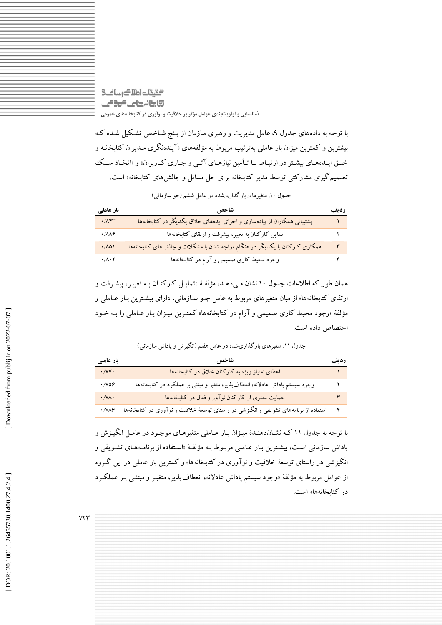التالي كالعام لتيقت **تابنانهای موص** شناسایی و اولویتبندی عوامل مؤثر بر خلاقیت و نوآوری در کتابخانههای عمومی

با توجه به دادههای جدول ۹، عامل مدیریت و رهبری سازمان از پـنج شـاخص تشـکیل شـده کـه بیشترین و کمترین میزان بار عاملی بهترتیب مربوط به مؤلفههای «آیندهنگری مـدیران کتابخانـه و خلـق ايـدههـاي بيشـتر در ارتبـاط بـا تـأمين نيازهـاي آتـي و جـاري كـاربران» و «اتخـاذ سـبك تصمیم گیری مشارکتی توسط مدیر کتابخانه برای حل مسائل و چالش های کتابخانه» است.

| بار عاملی                     | شاخص                                                                        | رديف |
|-------------------------------|-----------------------------------------------------------------------------|------|
| $\cdot$ / $\wedge$ $\uparrow$ | پشتیبانی همکاران از پیادهسازی و اجرای ایدههای خلاق یکدیگر در کتابخانهها     |      |
| $\cdot$ / $\Lambda\Lambda$ ۶  | تمایل کارکنان به تغییر، پیشرفت و ارتقای کتابخانهها                          |      |
| .701                          | همکاری کارکنان با یکدیگر در هنگام مواجه شدن با مشکلات و چالش های کتابخانهها | ٣    |
| $\cdot/\Lambda\cdot Y$        | وجود محیط کاری صمیمی و آرام در کتابخانهها                                   |      |

جدول ۱۰. متغیرهای بارگذاریشده در عامل ششم (جو سازمانی)

همان طور که اطلاعات جدول ۱۰ نشان می0هـد، مؤلفـهٔ «تمایـل کارکنـان بـه تغییـر، پیشـرفت و ارتقای کتابخانهها» از میان متغیرهای مربوط به عامل جـو سـازمانی، دارای بیشـترین بـار عـاملی و مؤلفهٔ «وجود محیط کاری صمیمی و آرام در کتابخانهها» کمتـرین میـزان بـار عـاملی را بـه خـود اختصاص داده است.

جدول ۱۱. متغیرهای بارگذاریشده در عامل هفتم (انگیزش و پاداش سازمانی)

| بار عاملی                    | شاخص                                                                                 | رديف |
|------------------------------|--------------------------------------------------------------------------------------|------|
| $\cdot$ / $\vee$ $\vee$      | اعطای امتیاز ویژه به کارکنان خلاق در کتابخانهها                                      |      |
| $\cdot$ /VQ&                 | وجود سیستم پاداش عادلانه، انعطاف پذیر، متغیر و مبتنی بر عملکرد در کتابخانهها         |      |
| $\cdot$ / Y $\wedge$ $\cdot$ | حمایت معنوی از کارکنان نوآور و فعال در کتابخانهها                                    |      |
| $\cdot$ /VAS                 | استفاده از برنامههای تشویقی و انگیزشی در راستای توسعهٔ خلاقیت و نوآوری در کتابخانهها |      |

با توجه به جدول ۱۱ کـه نشـاندهنـدهٔ میـزان بـار عـاملی متغیرهـای موجـود در عامـل انگیـزش و پاداش سازمانی است، بیشترین بـار عـاملی مربـوط بـه مؤلفـهٔ «اسـتفاده از برنامـههـای تشـویقی و انگیزشی در راستای توسعهٔ خلاقیت و نوآوری در کتابخانهها» و کمترین بار عاملی در این گـروه از عوامل مربوط به مؤلفهٔ «وجود سیستم پاداش عادلانه، انعطاف پذیر، متغیـر و مبتنـبي بـر عملکـرد در کتابخانهها» است.

 $YYY$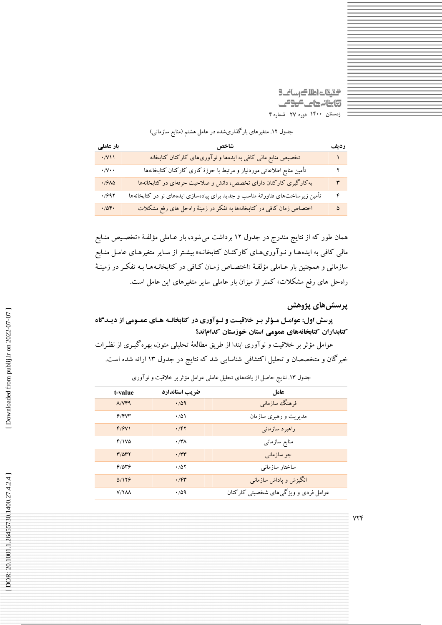التقات اطلاك رسانك 5)ينانهاي مومي زمستان ١۴٠٠ دوره ٢٧ شماره ۴

|  |  |  |  |  |  | جدول ۱۲. متغیرهای بارگذاریشده در عامل هشتم (منابع سازمانی) |  |  |  |  |  |
|--|--|--|--|--|--|------------------------------------------------------------|--|--|--|--|--|
|--|--|--|--|--|--|------------------------------------------------------------|--|--|--|--|--|

| بار عاملی                  | شاخص                                                                            | رديف           |
|----------------------------|---------------------------------------------------------------------------------|----------------|
| $\cdot$ /V $\prime$        | تخصیص منابع مالی کافی به ایدهها و نوآوریهای کارکنان کتابخانه                    |                |
| $\cdot/\sqrt{\cdot}$       | تأمين منابع اطلاعاتي موردنياز و مرتبط با حوزة كارى كاركنان كتابخانهها           | ۲              |
| $\cdot$ / $9\lambda\Delta$ | به کارگیری کارکنان دارای تخصص، دانش و صلاحیت حرفهای در کتابخانهها               | ٣              |
| .7997                      | تأمین زیرساختهای فناورانهٔ مناسب و جدید برای پیادهسازی ایدههای نو در کتابخانهها | $\mathfrak{r}$ |
| .709.                      | اختصاص زمان کافی در کتابخانهها به تفکر در زمینهٔ راهحل های رفع مشکلات           | ۵              |

همان طور که از نتایج مندرج در جدول ۱۲ برداشت میشود، بار عـاملی مؤلفـهٔ «تخصـیص منـابع مالی کافی به ایدههـا و نـوآوری،هـای کارکنـان کتابخانـه» بیشـتر از سـایر متغیرهـای عامـل منـابع سازمانی و همچنین بار عـاملی مؤلفـهٔ «اختصـاص زمـان کـافی در کتابخانـههـا بـه تفکـر در زمینـهٔ راه حل های رفع مشکلات» کمتر از میزان بار عاملی سایر متغیرهای این عامل است.

یرسش های **پژوه**ش

پرسش اول: عوامـل مـؤثر بـر خلاقیـت و نـوآوری در کتابخانـه هـای عمـومی از دیـدگاه كتابداران كتابخانههاي عمومي استان خوزستان كداماند؟

عوامل مؤثر بر خلاقیت و نوآوری ابتدا از طریق مطالعهٔ تحلیلی متون، بهره گیـری از نظـرات خبرگان و متخصصان و تحلیل اکتشافی شناسایی شد که نتایج در جدول ۱۳ ارائه شده است.

| t-value           | ضريب استاندارد | عامل                                 |
|-------------------|----------------|--------------------------------------|
| $\Lambda$ / $VFA$ | .709           | فرهنگ سازمانبي                       |
| 9/8V              | $\cdot$ /5)    | مدیریت و رهبری سازمان                |
| F/9V              | .797           | راهبر د سازمانی                      |
| $F/1V\Delta$      | ۰/۳۸           | منابع سازمانبي                       |
| $T/\Delta T$      | $\cdot$ /۳۳    | جو سازمان <sub>ی</sub>               |
| 9/049             | .701           | ساختار سازمانى                       |
| 0/179             | .75            | انگیزش و پاداش سازمانی               |
| V/YAA             | ۱۵۹            | عوامل فردی و ویژگیهای شخصیتی کارکنان |

جدول ۱۳. نتایج حاصل از یافتههای تحلیل عاملی عوامل مؤثر بر خلاقیت و نوآوری

 $YYf$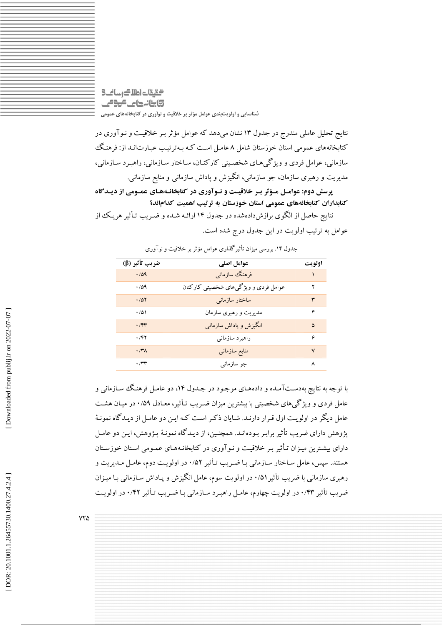التقيقات اطلاك رساني 3 **تابنانهای موص** شناسایی و اولویتبندی عوامل مؤثر بر خلاقیت و نوآوری در کتابخانههای عمومی

نتایج تحلیل عاملی مندرج در جدول ۱۳ نشان میدهد که عوامل مؤثر بـر خلاقیـت و نـوآوری در کتابخانههای عمومی استان خوزستان شامل ۸ عامـل اسـت کـه بـهترتیـب عبـارت|نـد از: فرهنـگ سازمانی، عوامل فردی و ویژگیهای شخصیتی کارکنـان، سـاختار سـازمانی، راهبـرد سـازمانی، مديريت و رهبري سازمان، جو سازماني، انگيزش و ياداش سازماني و منابع سازماني.

پرسش دوم: عوامـل مـؤثر بـر خلاقيـت و نـوآوري در كتابخانـههـاي عمـومي از ديـدگاه كتابداران كتابخانههاي عمومي استان خوزستان به ترتيب اهميت كداماند؟

نتایج حاصل از الگوی برازشدادهشده در جدول ۱۴ ارائـه شـده و ضـریب تـأثیر هریـک از عوامل به ترتیب اولویت در این جدول درج شده است.

| ضريب تأثير (β)      | عوامل اصلى                           | اولويت |
|---------------------|--------------------------------------|--------|
| .709                | فرهنگ سازمانی                        |        |
| ۱۵۹                 | عوامل فردی و ویژگیهای شخصیتی کارکنان | ۲      |
| .70Y                | ساختار سازمانبي                      | ٣      |
| ۱۵۱۰                | مدیریت و رهبری سازمان                | ۴      |
| .75                 | انگیزش و پاداش سازمانبی              | ۵      |
| .797                | راهبرد سازماني                       | ۶      |
| $\cdot$ /۳ $\wedge$ | منابع سازمانى                        | $\vee$ |
| $\cdot$ /۳۳         | جو سازمان <sub>ی</sub>               | ٨      |

جدول ۱۴. بررسی میزان تأثیر گذاری عوامل مؤثر بر خلاقیت و نوآوری

با توجه به نتایج بهدستآمـده و دادههـای موجـود در جـدول ۱۴، دو عامـل فرهنـگ سـازمانی و عامل فردی و ویژگیهای شخصیتی با بیشترین میزان ضـریب تـأثیر، معـادل ۰/۵۹ در میـان هشـت عامل دیگر در اولویت اول قبرار دارنید. شبایان ذکیر است کیه این دو عامل از دیپدگاه نمونیهٔ پژوهش دارای ضریب تأثیر برابـر بـودهانـد. همچنـین، از دیـدگاه نمونـهٔ پـژوهش، ایـن دو عامـل دارای بیشترین میـزان تـأثیر بـر خلاقیـت و نـوآوری در کتابخانـههـای عمـومی اسـتان خوزسـتان هستند. سیس، عامل سـاختار سـازمانی بـا ضـریب تـأثیر ۰/۵۲ در اولویـت دوم، عامـل مـدیریت و رهبری سازمانی با ضریب تأثیر ۰/۵۱ در اولویت سوم، عامل انگیزش و پـاداش سـازمانی بـا میـزان ضریب تأثیر ۰/۴۳ در اولویت چهارم، عامـل راهبـرد سـازمانی بـا ضـریب تـأثیر ۰/۴۲ در اولویـت

 $YY\Delta$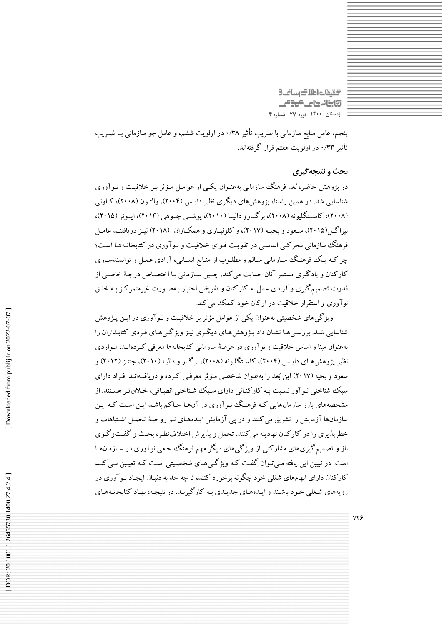التالي كالعام تقيقت **تابنانهای موص** زمستان ١۴٠٠ دوره ٢٧ شماره ۴

پنجم، عامل منابع سازمانی با ضریب تأثیر ۰/۳۸ در اولویت ششم، و عامل جو سازمانی بـا ضـریب تأثیر ۰/۳۳ در اولویت هفتم قرار گرفتهاند.

### بحث و نتيجه گيري

در یژوهش حاضر، بُعد فرهنگ سازمانی بهعنـوان یکـبی از عوامـل مـؤثر بـر خلاقیـت و نـوآوری شناسایی شد. در همین راستا، یژوهش های دیگری نظیر دایـس (۲۰۰۴)، والتـون (۲۰۰۸)، کـاونی (۲۰۰۸)، کاسـتگليونه (۲۰۰۸)، برگــارو داليــا (۲۰۱۰)، يوشــي چــوهي (۲۰۱۴)، ايــونر (۲۰۱۵)، بیراگس (۲۰۱۵)، سعود و بحیـه (۲۰۱۷)، و کلونیـاری و همکـاران (۲۰۱۸) نیـز دریافتنـد عامـل فرهنگ سازمانی محرکبی اساسبی در تقویت قـوای خلاقیـت و نـوآوری در کتابخانـههـا اسـت؛ چراکـه یـک فرهنـگ سـازمانی سـالـم و مطلـوب از منـابع انسـانی، آزادی عمـل و توانمندسـازی کارکنان و یادگیری مستمر آنان حمایت می کند. چنین سـازمانی بـا اختصـاص درجـهٔ خاصـی از قدرت تصمیم گیری و آزادی عمل به کارکنان و تفویض اختیار بـهصـورت غیرمتمرکـز بـه خلـق نوآوری و استقرار خلاقیت در ارکان خود کمک می کند.

ویژگیهای شخصیتی بهعنوان یکی از عوامل مؤثر بر خلاقیت و نـوآوری در ایـن پـژوهش .<br>شناسایی شـد. بررسـی هـا نشـان داد پـژوهش هـای دیگـری نیـز ویژگـی هـای فـردی کتابـداران را .<br>بهعنوان مبنا و اساس خلاقیت و نو آوری در عرصهٔ سازمانی کتابخانهها معرفی کـردهانــد. مـواردی نظیر پژوهش هـای دایـس (۲۰۰۴)، کاسـتگلیونه (۲۰۰۸)، بر گـار و دالیـا (۲۰۱۰)، جنتـ; (۲۰۱۲) و سعود و بحیه (۲۰۱۷) این بُعد را بهعنوان شاخصی مـؤثر معرفـی کـرده و دریافتـهانـد افـراد دارای سبک شناختی نـو آور نسـبت بـه کارکنـانی دارای سـبک شـناختی انطبـاقی، خـلاق تـر هسـتند. از .<br>مشخصههای بارز سازمانهایی کـه فرهنـگ نـوآوری در آنهـا حـاکم باشـد ایـن اسـت کـه ایـن .<br>سازمانها آزمایش را تشویق می کنند و در یبی آزمایش ایـدههـای نـو روحیـهٔ تحمـل اشـتباهات و خطریذیری را در کارکنان نهادینه می کنند. تحمل و یذیرش اختلافنظر، بحث و گفتوگوی باز و تصمیم گیریهای مشارکتی از ویژگیهای دیگر مهم فرهنگ حامی نوآوری در سـازمانهـا است. در تبیین این یافته مبی تـوان گفـت کـه ویژگـی۵مـای شخصـیتی اسـت کـه تعیـین مـی کنـد کارکنان دارای ابهامهای شغلی خود چگونه برخورد کنند، تا چه حد به دنبال ایجاد نـو آوری در رویههای شغلی خود باشند و ایـدههـای جدیـدی بـه کارگیرنـد. در نتیجـه، نهـاد کتابخانـههـای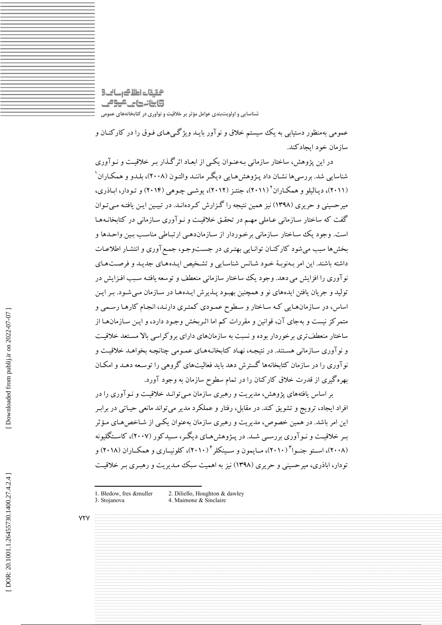التقات اطلاك رسانك **تابنانهای موص** شناسایی و اولویتبندی عوامل مؤثر بر خلاقیت و نوآوری در کتابخانههای عمومی

عمومي بهمنظور دستیابي به يک سیستم خلاق و نوآور بايـد ويژگـي،هـاي فـوق را در کارکنــان و ساز مان خود ایجادکند.

در این یژوهش، ساختار سازمانی پهعنوان یکبی از ایعـاد اثرگـذار پـر خلاقیـت و نـوآوری شناسایی شد. بررسی ها نشـان داد پـژوهش هـایی دیگـر ماننـد والتـون (۲۰۰۸)، بلـدو و همکـاران ' (۲۰۱۱)، دیـالیلو و همکـاران (۲۰۱۱)، جنتـز (۲۰۱۲)، پوشـی چـوهی (۲۰۱۴) و تـودار، ابـاذری، میرحسینی و حریری (۱۳۹۸) نیز همین نتیجه را گـزارش کـردهانـد. در تبیـین ایـن یافتـه مـیتـوان گفت که ساختار سـازمانی عـاملی مهـم در تحقـق خلاقیـت و نـو آوری سـازمانی در کتابخانـههـا است. وجود یک ساختار سازمانی برخوردار از سازماندهی ارتباطی مناسب بین واحدها و بخش ها سبب می شود کارکنـان توانـایی بهتـری در جسـتوجـو، جمـع آوری و انتشـار اطلاعـات داشته باشند. این امر بـهنوبـهٔ خـود شـانس شناسـایی و تشـخیص ایـدههـای جدیـد و فرصـتهـای نو آوری را افزایش می دهد. وجود یک ساختار سازمانی منعطف و توسعه یافتـه سـبب افـزایش در تولید و جریان یافتن ایدههای نو و همچنین بهبود پـذیرش ایـدههـا در سـازمان مـیشـود. بـر ایـن اساس، در سـازمانهـايي كـه سـاختار و سـطوح عمـودي كمتـري دارنـد، انجـام كارهـا رسـمي و متمرکز نیست و بهجای آن، قوانین و مقررات کم اما اثـربخش وجـود دارد، و ایـن سـازمانهـا از ساختار منعطفتری برخوردار بوده و نسبت به سازمانهای دارای بروکراسی بالا مستعد خلاقیت و نوآوری سـازمانی هسـتند. در نتیجـه، نهـاد کتابخانـههـای عمـومی چنانچـه بخواهـد خلاقیـت و نو آوری را در سازمان کتابخانهها گسترش دهد باید فعالیتهای گروهی را توسـعه دهـد و امکـان بهره گیری از قدرت خلاق کارکنان را در تمام سطوح سازمان به وجود آورد.

بر اساس یافتههای پژوهش، مدیریت و رهبری سازمان مبی توانـد خلاقیـت و نـوآوری را در افراد ایجاد، ترویج و تشویق کند. در مقابل، رفتار و عملکرد مدیر می تواند مانعی حیـاتی در برابـر این امر باشد. در همین خصوص، مدیریت و رهبری سازمان بهعنوان یکمی از شـاخص هـای مـؤثر سر خلاقیت و نیو آوری بررسے شـد. در پـژوهش هـای دیگـر، سـیدکور (۲۰۰۷)، کاسـتگلبونه (۲۰۰۸)، استو جنبوا (۲۰۱۰)، میایمون و سینکلز ۲۰۱۰)، کلونساری و همکیاران (۲۰۱۸) و تودار، اباذری، میرحسینی و حریری (۱۳۹۸) نیز به اهمیت سبک میدیریت و رهبری بیر خلاقیت

**YTY** 

<sup>2.</sup> Diliello, Houghton & dawley 1. Bledow, fres &muller 3. Stojanova

<sup>4.</sup> Maimone & Sinclaire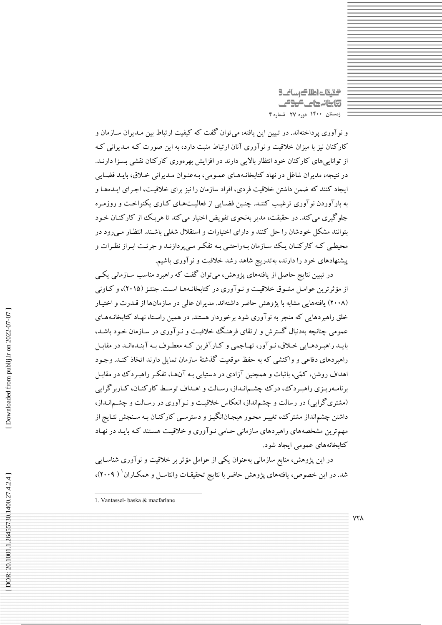گیقات اطلاک رسانگ **تابنانهای موص** زمستان ۱۴۰۰ دوره ۲۷ شماره ۴

و نو آوري پرداختهاند. در تبيين اين يافته، مي توان گفت كه كيفيت ارتباط بين مـديران سـازمان و کارکنان نیز با میزان خلاقیت و نوآوری آنان ارتباط مثبت دارد، به این صورت کـه مـدیرانی کـه از تواناییهای کارکنان خود انتظار بالایی دارند در افزایش بهرهوری کارکنان نقشی بسـزا دارنـد. در نتیجه، مدیران شاغل در نهاد کتابخانیههای عمومی، پیمنوان میدیرانی خیلاق، بایید فضایی ایجاد کنند که ضمن داشتن خلاقیت فردی، افراد سازمان را نیز برای خلاقیت، اجـرای ایـدههـا و به بارآوردن نوآوری ترغیب کننـد. چنـین فضـایی از فعالیـتهـای کـاری یکنواخـت و روزمـره جلوگیری می کند. در حقیقت، مدیر بهنحوی تفویض اختیار می کند تا هر یک از کارکنـان خـود بتوانند مشکل خودشان را حل کنند و دارای اختیارات و استقلال شغلی باشـند. انتظـار مـی(ود در محیطبی کـه کارکنـان یـک سـازمان بـهراحتـی بـه تفکـر مـیپردازنـد و جرئـت ابـراز نظـرات و پیشنهادهای خود را دارند، بهتدریج شاهد رشد خلاقیت و نوآوری باشیم.

در تبیین نتایج حاصل از یافتههای پژوهش، میتوان گفت که راهبرد مناسب سـازمانی یکـی از مؤثرترین عوامـل مشـوق خلاقیـت و نـوآوری در کتابخانـههـا اسـت. جنتـز (۲۰۱۵)، و کـاونـی (۲۰۰۸) یافتههایی مشابه با یژوهش حاضر داشتهاند. مدیران عالمی در سازمانها از قـدرت و اختیـار خلق راهبردهایی که منجر به نوآوری شود برخوردار هستند. در همین راستا، نهـاد کتابخانـههـای عمومی چنانچه بهدنبال گسترش و ارتقای فرهنگ خلاقیت و نـو آوری در سـازمان خـود باشـد، بايـد راهبـردهـايي خـلاق، نـوآور، تهـاجمي و كـارآفرين كـه معطـوف بـه آينـدهانـد در مقابـل راهبردهای دفاعی و واکنشی که به حفظ موقعیت گذشتهٔ سازمان تمایل دارند اتخاذ کنـد. وجـود اهداف روشن، کمّی، باثبات و همچنین آزادی در دستیابی بـه آن\ما، تفکـر راهبـردک در مقابـل برنامـهريـزي راهبـردك، درك چشـمانـداز، رسـالت و اهـداف توسـط كاركنـان، كـاربرگرايي (مشتری گرایی) در رسالت و چشمانداز، انعکاس خلاقیت و نـوآوری در رسـالت و چشـمانـداز، داشتن چشمانداز مشترک، تغییـر محـور هیجـانانگیـز و دسترسـی کارکنـان بـه سـنجش نتـایج از مهم ترین مشخصههای راهبردهای سازمانی حـامی نـوآوری و خلاقیـت هسـتند کـه بایـد در نهـاد کتابخانههای عمومی ایجاد شود.

در این پژوهش، منابع سازمانی بهعنوان یکی از عوامل مؤثر بر خلاقیت و نوآوری شناسـایی شد. در این خصوص، یافتههای پژوهش حاضر با نتایج تحقیقـات وانتاسـل و همکـاران` ( ۲۰۰۹)،

Downloaded from publij.ir on 2022-07-07

**YTA** 

<sup>1.</sup> Vantassel- baska & macfarlane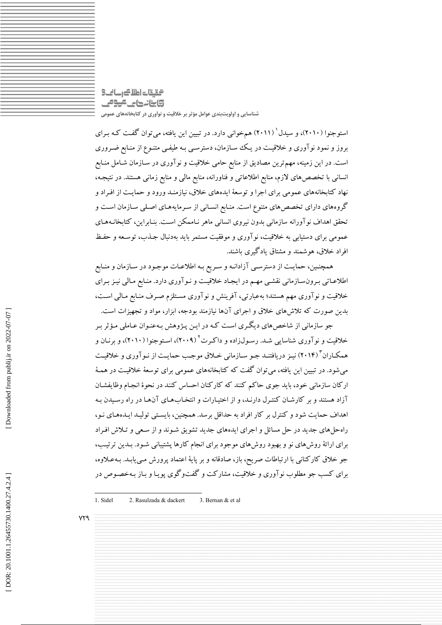### التقات اطلاك رسانك **تابنانهای موص** شناسایی و اولویتبندی عوامل مؤثر بر خلاقیت و نوآوری در کتابخانههای عمومی

استوجنوا (۲۰۱۰)، و سیدل ٔ (۲۰۱۱) همخوانی دارد. در تبیین این یافته، میتوان گفت کـه بـرای بروز و نمود نوآوری و خلاقیت در یک سازمان، دسترسـی بـه طیفـی متنـوع از منـابع ضـروری است. در این زمینه، مهم ترین مصادیق از منابع حامی خلاقیت و نوآوری در سـازمان شـامل منـابع انسانی با تخصص های لازم، منابع اطلاعاتی و فناورانه، منابع مالی و منابع زمانی هستند. در نتیجـه، نهاد کتابخانههای عمومی برای اجرا و توسعهٔ ایدههای خلاق، نیازمنـد ورود و حمایـت از افـراد و گروههای دارای تخصصهای متنوع است. منـابع انسـانی از سـرمایههـای اصـلی سـازمان اسـت و تحقق اهداف نوآورانه سازماني بدون نيروى انساني ماهر نـاممكن اسـت. بنـابراين، كتابخانـههـاي عمومی برای دستیابی به خلاقیت، نوآوری و موفقیت مستمر باید بهدنبال جـذب، توسـعه و حفـظ افراد خلاق، هوشمند و مشتاق یادگیری باشند.

همچنـین، حمایـت از دسترسـي آزادانـه و سـریع بـه اطلاعـات موجـود در سـازمان و منـابع اطلاعـاتي بـرونسـازماني نقشـي مهـم در ايجـاد خلاقيـت و نـوآوري دارد. منـابع مـالي نيـز بـراي خلاقیت و نوآوری مهم هستند؛ بهعبارتی، آفرینش و نوآوری مسـتلزم صـرف منـابع مـالمی اسـت، بدین صورت که تلاش های خلاق و اجرای آنها نیازمند بودجه، ابزار، مواد و تجهیزات است.

جو سازمانی از شاخصهای دیگری است که در ایـن پـژوهش بـهعنـوان عـاملی مـؤثر بـر خلاقیت و نوآوری شناسایی شـد. رسـولiاده و داکـرت<sup>۲</sup> (۲۰۰۹)، اسـتوجنوا (۲۰۱۰)، و برنـان و همکـاران "(۲۰۱۴) نیـز دریافتنـد جـو سـازمانی خـلاق موجـب حمایـت از نـو آوری و خلاقیـت می شود. در تبیین این یافته، می توان گفت که کتابخانههای عمومی برای توسعهٔ خلاقیت در همـهٔ ارکان سازمانی خود، باید جوی حاکم کنند که کارکنان احساس کنند در نحوهٔ انجام وظایفشـان آزاد هستند و بر کارشان کنتـرل دارنـد، و از اختيـارات و انتخـابهـاي آنهـا در راه رسـيدن بـه اهداف حمایت شود و کنترل بر کار افراد به حداقل برسد. همچنین، بایستی تولیـد ایـدههـای نـو، راه حلهای جدید در حل مسائل و اجرای ایدههای جدید تشویق شـوند و از سـعی و تـلاش افـراد برای ارائهٔ روشهای نو و بهبود روشهای موجود برای انجام کارها یشتیبانی شـود. بـدین ترتیـب، جو خلاق کارکنانی با ارتباطات صریح، باز، صادقانه و بر پایهٔ اعتماد پرورش مبی بابـد. بـه عـلاوه، برای کسب جو مطلوب نوآوری و خلاقیت، مشارکت و گفتوگوی پویـا و بـاز بـهخصـوص در

1. Sidel 2. Rasulzada & dackert 3. Bernan & et al.

 $YY9$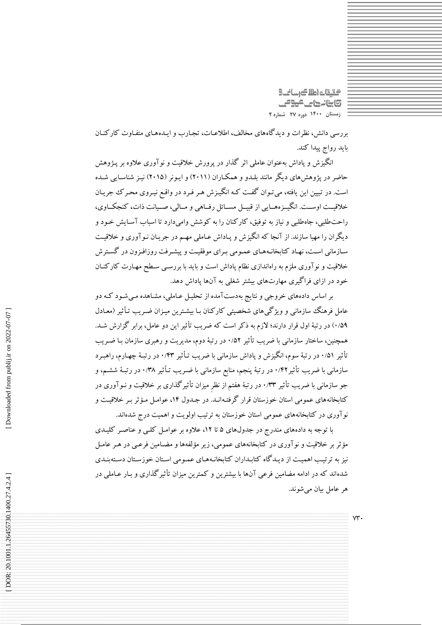التالي كالعام تقيقت **تابنانهای موص** زمستان ١۴٠٠ دوره ٢٧ شماره ۴

 $VT.$ 

بررسی دانش، نظرات و دیدگاههای مخالف، اطلاعـات، تجـارب و ایــدههـای متفـاوت کارکنــان بايد رواج پيدا كند.

.<br>انگیزش و یاداش بهعنوان عامل<sub>ی</sub> اثر گذار در پرورش خلاقیت و نوآوری علاوه بر پـژوهش حاضر در یژوهش های دیگر مانند بلـدو و همکـاران (۲۰۱۱) و ایـونر (۲۰۱۵) نیـز شناسـایی شـده است. در تبیین این یافته، میتوان گفت کـه انگیـزش هـر فـرد در واقـع نیـروی محـرک جریـان خلاقیــت اوســت. انگیــزههــایي از قبیــل مســائل رفــاهي و مــالي، صــیانت ذات، كنجكــاوي، راحت طلبي، جاهطلبي و نياز به توفيق، كاركنان را به كوشش وامي دارد تا اسباب آسـايش خـود و دیگران را مهیا سازند. از آنجا که انگیزش و پـاداش عـاملی مهـم در جریـان نـوآوری و خلاقیـت سـازماني اسـت، نهـاد كتابخانـههـاي عمـومي بـراي موفقيـت و پيشـرفت روزافـزون در گسـترش خلاقیت و نوآوری ملزم به راهاندازی نظام پاداش است و باید با بررسـی سـطح مهـارت کارکنـان خود در ازای فراگیری مهارتهای بیشتر شغلی به آنها یاداش دهد.

بر اساس دادههای خروجی و نتایج بهدستآمده از تحلیـل عـاملی، مشـاهده مـیشـود کـه دو عامل فرهنگ سازمانی و ویژگیهای شخصیتی کارکنان بـا بیشـترین میـزان ضـریب تـأثیر (معـادل ۰/۵۹) در رتبهٔ اول قرار دارند؛ لازم به ذکر است که ضریب تأثیر این دو عامل، برابر گزارش شـد. همچنین، ساختار سازمانی با ضریب تأثیر ۰/۵۲ در رتبهٔ دوم، مدیریت و رهبری سازمان بـا ضـریب تأثیر ۰/۵۱ در رتبهٔ سوم، انگیزش و یاداش سازمانی با ضریب تـأثیر ۰/۴۳ در رتبـهٔ چهـارم، راهبـرد سازمانی با ضریب تأثیر ۰/۴۲ در رتبهٔ پنجم، منابع سازمانی با ضـریب تـأثیر ۰/۳۸ در رتبـهٔ ششـم، و جو سازمانی با ضریب تأثیر ۰/۳۳ در رتبهٔ هفتم از نظر میزان تأثیرگذاری بر خلاقیت و نـوآوری در کتابخانههای عمومی استان خوزستان قرار گرفتـهانـد. در جـدول ۱۴، عوامـل مـؤثر بـر خلاقيـت و نوآوری در کتابخانههای عمومی استان خوزستان به ترتیب اولویت و اهمیت درج شدهاند.

Downloaded from publij.ir on 2022-07-07

DOR: 20.1001.1.26455730.1400.27.4.2.4

با توجه به دادههای مندرج در جدولهای ۵ تا ۱۲، علاوه بر عوامل کلبی و عناصر کلیـدی مؤثر بر خلاقیت و نوآوری در کتابخانههای عمومی، زیر مؤلفهها و مضـامین فرعـی در هـر عامـل نیز به ترتیب اهمیت از دیـدگاه کتابـداران کتابخانـههـای عمـومی اسـتان خوزسـتان دسـتهبنـدی شدهاند که در ادامه مضامین فرعی آنها با بیشترین و کمترین میزان تأثیرگذاری و بـار عـاملی در هر عامل بيان مي شوند.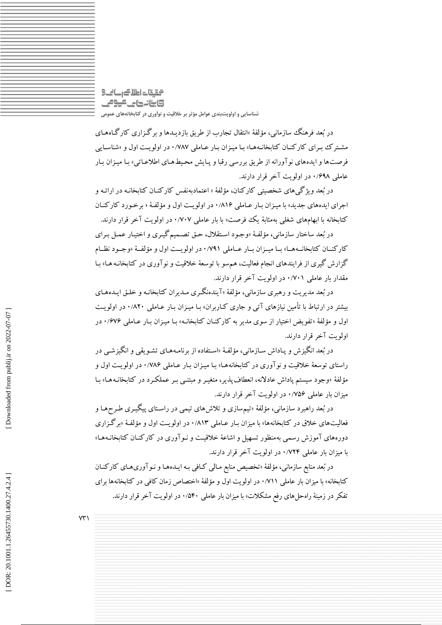التقات اطلاك رسانك **تابنانهای موص** شناسایی و اولویتبندی عوامل مؤثر بر خلاقیت و نوآوری در کتابخانههای عمومی

در بُعد فرهنگ سازمانی، مؤلفهٔ «انتقال تجارب از طریق بازدیـدها و برگـزاری کارگـاههـای مشترک سرای کارکنـان کتابخانـههـا» بـا میـزان بـار عـاملی ۰/۷۸۷ در اولویـت اول و «شناسـابی فرصتها و ایدههای نوآورانه از طریق بررسی رقبا و پـایش محیطهـای اطلاعـاتی» بـا میـزان بـار عاملی ۰/۶۹۸ در اولویت آخر قرار دارند.

در بُعد ویژگی های شخصیتی کارکنان، مؤلفهٔ « اعتمادبهنفس کارکنـان کتابخانـه در ارائـه و اجراي ايدههاي جديد» با ميـزان بـار عـاملي ٠/٨١۶ در اولويـت اول و مؤلفـهٔ « برخـورد كاركنـان کتابخانه با ابهامهای شغلی بهمثابهٔ یک فرصت» با بار عاملی ۰/۷۰۷ در اولویت آخر قرار دارند.

در بُعد ساختار سازماني، مؤلفهٔ «وجـود اسـتقلال، حـق تصـميم گيـري و اختيـار عمـل بـراي كاركنسان كتابخانسهها» بسا مييزان بيار عباملي ٧٩١/٠ در اولويست اول و مؤلفية «وجبود نظيام گزارش گیری از فرایندهای انجام فعالیت، هم سو با توسعهٔ خلاقیت و نوآوری در کتابخانـه هـا» بـا مقدار بار عاملی ۰/۷۰۱ در اولویت آخر قرار دارند.

در بُعد مديريت و رهبري سازماني، مؤلفهٔ «آيندهنگري مـديران كتابخانـه و خلـق ايـدههـاي بیشتر در ارتباط با تأمین نیازهای آتی و جاری کـاربران» بـا میـزان بـار عـاملی ۸۲۰/ در اولویـت اول و مؤلفهٔ «تفویض اختیار از سوی مدیر به کارکنـان کتابخانـه» بـا میـزان بـار عـاملی ۱/۶۷۶ در اولويت آخر قرار دارند.

در بُعد انگیزش و پـاداش سـازمانی، مؤلفـهٔ «اسـتفاده از برنامـههـای تشـویقی و انگیزشـی در راستای توسعهٔ خلاقیت و نوآوری در کتابخانههـا» بـا میـزان بـار عـاملی ۱/۷۸۶ در اولویـت اول و مؤلفهٔ «وجود سیستم پاداش عادلانه، انعطاف پذیر، متغیـر و مبتنـبی بـر عملکـرد در کتابخانـههـا» بـا میزان بار عاملی ۷۵۶/۰ در اولویت آخر قرار دارند.

در بُعد راهبرد سازمانی، مؤلفهٔ «تیمسازی و تلاش۵ای تیمی در راسـتای پیگیـری طـرحهـا و فعالیتهای خلاق در کتابخانهها» با میزان بـار عـاملی ۰/۸۱۳ در اولویـت اول و مؤلفـهٔ «برگـزاری دورههای آموزش رسمی بهمنظور تسهیل و اشاعهٔ خلاقیت و نـوآوری در کارکنـان کتابخانـههـا» با میزان بار عاملی ۰/۷۲۴ در اولویت آخر قرار دارند.

در بُعد منابع سازماني، مؤلفهٔ «تخصيص منابع مـالي كـافي بـه ايـدههـا و نـوآوريهـاي كاركنـان کتابخانه» با میزان بار عاملی ۰/۷۱۱ در اولویت اول و مؤلفهٔ «اختصاص زمان کافی در کتابخانهها برای تفکر در زمینهٔ راهحل های رفع مشکلات» با میزان بار عاملی ۵۴۰/۰ در اولویت آخر قرار دارند.

 $YY'$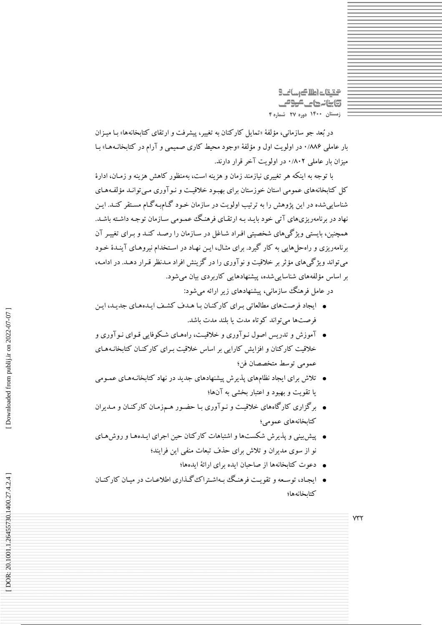التقيقات اطلاك رسانك **تابنانهای موص** زمستان ١۴٠٠ دوره ٢٧ شماره ۴

در بُعد جو سازمانی، مؤلفهٔ «تمایل کارکنان به تغییر، پیشرفت و ارتقای کتابخانهها» بـا میـزان بار عامل<sub>ی</sub> ۱/۸۸۶ در اولویت اول و مؤلفهٔ «وجود محیط کاری صمیمی و آرام در کتابخانـههـا» بـا میزان بار عاملی ۰/۸۰۲ در اولویت آخر قرار دارند.

با توجه به اینکه هر تغییری نیازمند زمان و هزینه است، بهمنظور کاهش هزینه و زمـان، ادارهٔ کل کتابخانههای عمومی استان خوزستان برای بهبود خلاقیت و نـوآوری مـی توانـد مؤلفـههـای شناسایی شده در این یژوهش را به ترتیب اولویت در سازمان خـود گـام.بـه گـام مسـتقر کنـد. ایـن نهاد در برنامهریزیهای آتی خود بایید به ارتقیای فرهنگ عمیومی سازمان توجیه داشته باشید. همچنین، بایستی ویژگی های شخصیتی افـراد شـاغل در سـازمان را رصـد کنـد و بـرای تغییـر آن برنامهریزی و راهحل هایی به کار گیرد. برای مثـال، ایـن نهـاد در اسـتخدام نیروهـای آینـدۀ خـود می تواند ویژگیهای مؤثر بر خلاقیت و نوآوری را در گزینش افراد مـدنظر قـرار دهـد. در ادامـه، بر اساس مؤلفههای شناسایی شده، پیشنهادهایی کاربردی بیان می شود.

در عامل فرهنگ سازمانی، پیشنهادهای زیر ارائه میشود:

- ایجاد فرصتهای مطالعاتی برای کارکنان با هـدف کشـف ایـدههـای جدیـد، ایـن فرصتها مي تواند كوتاه مدت يا بلند مدت باشد.
- آموزش و تدریس اصول نـوآوری و خلاقیـت، راههـای شـکوفایی قـوای نـوآوری و خلاقیت کارکنان و افزایش کارایی بر اساس خلاقیت به ای کارکنـان کتابخانـههـای عمومي توسط متخصصان فن؛
- تلاش برای ایجاد نظامهای پذیرش پیشنهادهای جدید در نهاد کتابخانـههـای عمـومی یا تقویت و بهبود و اعتبار بخشی به آنها؛
- برگزاری کارگاههای خلاقیت و نـوآوری بـا حضـور هـمزمـان کارکنـان و مـدیران كتابخانههاي عمومي؛
- پیش پینی و پذیرش شکستها و اشتباهات کارکنان حین اجرای ایـدههـا و روشهـای نو از سوی مدیران و تلاش برای حذف تبعات منفی این فرایند؛
	- دعوت كتابخانهها از صاحبان ايده براي ارائهٔ ايدهها؛
- ایجاد، توسعه و تقویت فرهنگ بهاشتراک گذاری اطلاعیات در میان کارکنیان كتابخانهها؛

 $Y^*Y$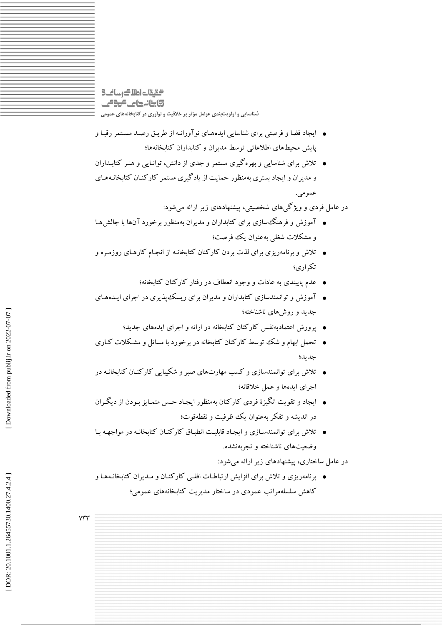### التقات اطلاك رسانك **تابنانهای موص** شناسایی و اولویتبندی عوامل مؤثر بر خلاقیت و نوآوری در کتابخانههای عمومی

- ایجاد فضا و فرصتی برای شناسایی ایدههـای نوآورانـه از طریـق رصـد مسـتمر رقبـا و یایش محبطهای اطلاعاتی توسط مدیران و کتابداران کتابخانهها؛
- تلاش برای شناسایی و بهره گیری مستمر و جدی از دانش، توانـایی و هنـر کتابـداران و مدیران و ایجاد بستری بهمنظور حمایت از یادگیری مستمر کارکنـان کتابخانـههـای عمو مي.
	- در عامل فردی و ویژگیهای شخصیتی، پیشنهادهای زیر ارائه می شود:
- آموزش و فرهنگ سازی برای کتابداران و مدیران بهمنظور برخورد آنها با چالش هبا و مشکلات شغلی بهعنوان یک فوصت؛
- تلاش و برنامه٫یزی برای لذت بردن کارکنان کتابخانـه از انجـام کارهـای روزمـره و تكراري؛
	- عدم پایبندی به عادات و وجود انعطاف در رفتار کارکنان کتابخانه؛
- آموزش و توانمندسازی کتابداران و مدیران برای ریسک پذیری در اجرای ایـدههـای جدید و روش های ناشناخته؛
	- پرورش اعتمادبهنفس کارکنان کتابخانه در ارائه و اجرای ایدههای جدید؛
- تحمل ابهام و شک توسط کارکنان کتابخانه در برخورد با مسائل و مشکلات کـاری جديد؛
- تلاش برای توانمندسازی و کسب مهارتهای صبر و شکیبایی کارکنـان کتابخانـه در اجراي ايدهها و عمل خلاقانه؛
- ايجاد و تقويت انگيزهٔ فردي كاركنان بهمنظور ايجـاد حـس متمـايز بـودن از ديگـران در انديشه و تفكر بهعنوان يك ظرفيت و نقطهقوت؛
- تلاش برای توانمندسـازی و ایجـاد قابلیـت انطبـاق کارکنـان کتابخانـه در مواجهـه بـا وضعیتهای ناشناخته و تجربهنشده.

در عامل ساختاری، پیشنهادهای زیر ارائه می شود:

● برنامهریزی و تلاش برای افزایش ارتباطـات افقـی کارکنـان و مـدیران کتابخانـههـا و کاهش سلسلهمراتب عمودی در ساختار مدیریت کتابخانههای عمومی؛

 $Y^{\mu}Y^{\nu}$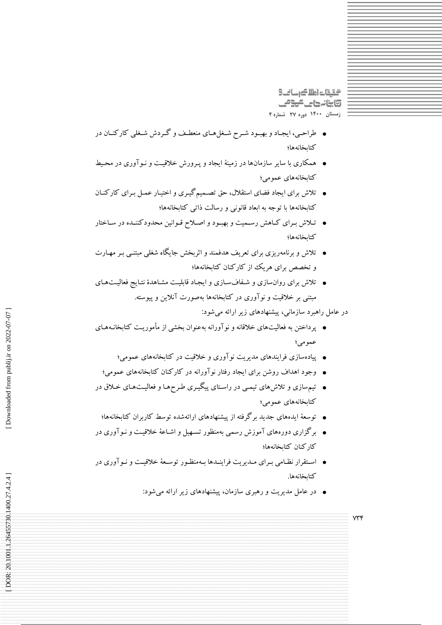التقيقات اطلاك رسانك **تابنانهای موص** زمستان ١۴٠٠ دوره ٢٧ شماره ۴

- طراحمی، ایجاد و بهبود شـرح شـغلهـاي منعطـف و گـردش شـغلي كاركنـان در كتابخانهها؛
- همکاری با سایر سازمانها در زمینهٔ ایجاد و پـرورش خلاقیـت و نـوآوری در محـیط کتابخانههای عمومی؛
- تلاش برای ایجاد فضای استقلال، حق تصـمیمگیـری و اختیـار عمـل بـرای کارکنـان کتابخانهها با توجه به ابعاد قانونی و رسالت ذاتی کتابخانهها؛
- تلاش برای کاهش رسمیت و بهبود و اصلاح قـوانین محدودکننـده در سـاختار كتابخانهها؛
- تلاش و برنامهریزی برای تعریف هدفمند و اثربخش جایگاه شغلی مبتنـی بـر مهـارت و تخصص برای هریک از کارکنان کتابخانهها؛
- تلاش برای روانسازی و شفافسازی و ایجاد قابلیت مشاهدهٔ نتایج فعالیتهای مبتنی بر خلاقیت و نو آوری در کتابخانهها بهصورت آنلاین و پیوسته.
	- در عامل راهبرد سازمانی، پیشنهادهای زیر ارائه می شود:

 $Y^*Y^*$ 

- پرداختن به فعالیتهای خلاقانه و نوآورانه بهعنوان بخشی از مأموریت کتابخانـههـای عمومي؛
	- پیادهسازی فرایندهای مدیریت نوآوری و خلاقیت در کتابخانههای عمومی؛
	- وجود اهداف روشن برای ایجاد رفتار نوآورانه در کارکنان کتابخانههای عمومی؛
- تیمسازی و تلاش های تیمبی در راستای پیگیـری طـرحهـا و فعالیـتهـای خـلاق در کتابخانههای عمومی؛
	- توسعهٔ ایدههای جدید برگرفته از پیشنهادهای ارائهشده توسط کاربران کتابخانهها؛
- برگزاری دورههای آموزش رسمی بهمنظور تسـهیل و اشـاعهٔ خلاقیـت و نـوآوری در كاركنان كتابخانهها؛
- استقرار نظـامی بـرای مـدیریت فراینـدها بـهمنظـور توسـعهٔ خلاقیـت و نـوآوری در كتابخانهها.
	- در عامل مدیریت و رهبری سازمان، پیشنهادهای زیر ارائه می شود:

DOR: 20.1001.1.26455730.1400.27.4.2.4]

Downloaded from publij.ir on 2022-07-07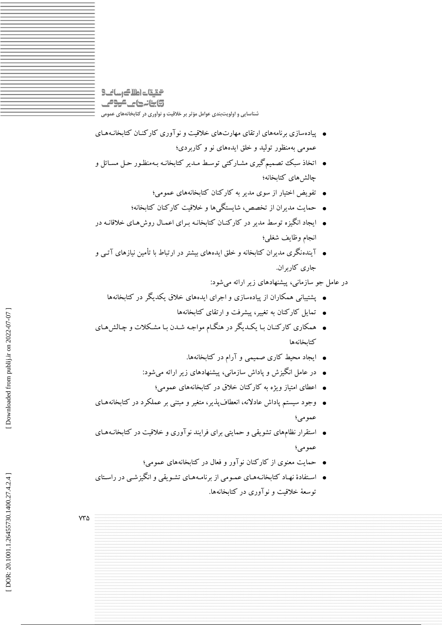### التقيقات اطلاك رسانك **تابنانهای موص** شناسایی و اولویتبندی عوامل مؤثر بر خلاقیت و نوآوری در کتابخانههای عمومی

- پیادهسازی برنامههای ارتقای مهارتهای خلاقیت و نو آوری کارکنـان کتابخانـههـای عمومي په منظور توليد و خلق ايده هاي نو و کارېږدي؛
- اتخاذ سبک تصمیمگیری مشـارکتبی توسـط مـدیر کتابخانـه بـهمنظـور حـل مسـائل و جالش هاى كتابخانه؛
	- تفویض اختیار از سوی مدیر به کارکنان کتابخانههای عمومی؛
	- حمایت مدیران از تخصص، شایستگی ها و خلاقیت کارکنان کتابخانه؛
- ایجاد انگیزه توسط مدیر در کارکنـان کتابخانـه بـرای اعمـال روش۵مـای خلاقانـه در انجام وظايف شغلبي؛
- آیندهنگری مدیران کتابخانه و خلق ایدههای بیشتر در ارتباط با تأمین نیازهای آتـی و جاري كاربران.
	- در عامل جو سازمانی، پیشنهادهای زیر ارائه می شود:
	- یشتیبانی همکاران از پیادهسازی و اجرای ایدههای خلاق یکدیگر در کتابخانهها
		- تمایل کارکنان به تغییر، پیشرفت و ارتقای کتابخانهها
- همکاری کارکنـان بـا یکـدیگر در هنگـام مواجـه شـدن بـا مشـکلات و چـالش۵مـای كتابخانهها
	- ایجاد محیط کاری صمیمی و آرام در کتابخانهها.
	- در عامل انگیزش و پاداش سازمانی، پیشنهادهای زیر ارائه میشود:
		- اعطای امتیاز ویژه به کارکنان خلاق در کتابخانههای عمومی؛
- وجود سیستم پاداش عادلانه، انعطافپذیر، متغیر و مبتنی بر عملکرد در کتابخانههـای عمومي؛
- استقرار نظامهای تشویقی و حمایتی برای فرایند نوآوری و خلاقیت در کتابخانـههـای عمومي؛
	- حمایت معنوی از کارکنان نوآور و فعال در کتابخانههای عمومی؛
- اسـتفادهٔ نهـاد کتابخانـههـای عمـومی از برنامـههـای تشـویقی و انگیزشـی در راسـتای توسعهٔ خلاقت و نوآوری در کتاپخانهها.

**YTA**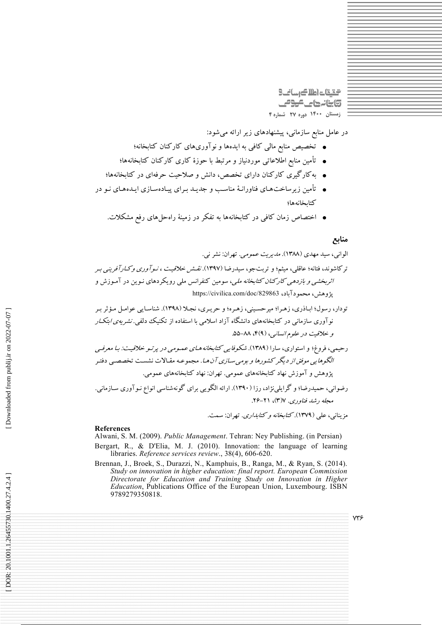التالي كالعام لتيقت وابنانها كالمومى زمستان ١۴٠٠ دوره ٢٧ شماره ۴

در عامل منابع سازمانی، پیشنهادهای زیر ارائه میشود:

- تخصیص منابع مالی کافی به ایدهها و نوآوریهای کارکنان کتابخانه؛
- تأمین منابع اطلاعاتی موردنیاز و مرتبط با حوزهٔ کاری کارکنان کتابخانهها؛
- به کارگیری کارکنان دارای تخصص، دانش و صلاحیت حرفهای در کتابخانهها؛
- تأمین زیرساختهای فناورانـهٔ مناسـب و جدیـد بـرای پیـادهسـازی ایـدههـای نـو در كتابخانهها؛
	- اختصاص زمان کافی در کتابخانهها به تفکر در زمینهٔ راهحلهای رفع مشکلات.

### منابع

الوانی، سید مهدی (۱۳۸۸). *مدیریت عمومی*. تهران: نشر نی.

ترکاشوند، فتانه؛ عاقلی، میثم؛ و تربتجو، سیدرضا (۱۳۹۷). *نقش خلاقیت ، نـوآوری وکـارآفرینـی بـر اثربخشی و بازدهی کارکنان کتابخانه ملی*، سومین کنفرانس ملی رویکردهای نـوین در آمـوزش و يژوهش، محمودآباد، https://civilica.com/doc/829863

#### **References**

Alwani, S. M. (2009). Public Management. Tehran: Ney Publishing. (in Persian)

- Bergart, R., & D'Elia, M. J. (2010). Innovation: the language of learning libraries. Reference services review., 38(4), 606-620.
- Brennan, J., Broek, S., Durazzi, N., Kamphuis, B., Ranga, M., & Ryan, S. (2014). Study on innovation in higher education: final report. European Commission Directorate for Education and Training Study on Innovation in Higher *Education*, Publications Office of the European Union, Luxembourg. ISBN 9789279350818.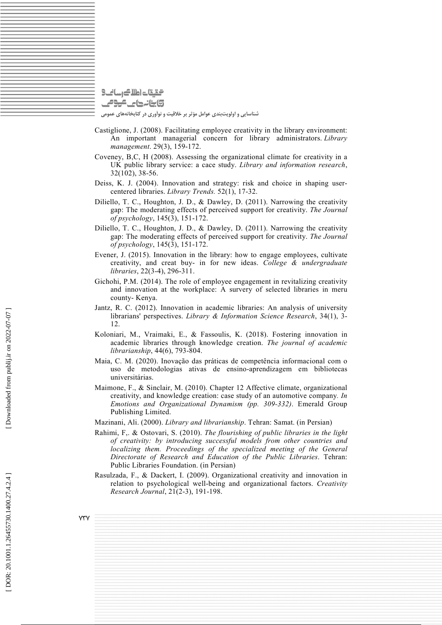گیقات اطلاک رسانت 9 وابنانها عليهوم

شناسایی و اولویتبندی عوامل مؤثر بر خلاقیت و نوآوری در کتابخانههای عمومی

- Castiglione, J. (2008). Facilitating employee creativity in the library environment: An important managerial concern for library administrators. *Library management* . 29(3), 159-172.
- Coveney, B,C, H (2008). Assessing the organizational climate for creativity in a UK public library service: a cace study. *Library and information research* , 32(102), 38-56.
- Deiss, K. J. (2004). Innovation and strategy: risk and choice in shaping usercentered libraries. *Library Trends.* 52(1), 17-32.
- Diliello, T. C., Houghton, J. D., & Dawley, D. (2011). Narrowing the creativity gap: The moderating effects of perceived support for creativity. *The Journal of psychology* , 145(3), 151-172.
- Diliello, T. C., Houghton, J. D., & Dawley, D. (2011). Narrowing the creativity gap: The moderating effects of perceived support for creativity. *The Journal of psychology* , 145(3), 151-172.
- Evener, J. (2015). Innovation in the library: how to engage employees, cultivate creativity, and creat buy- in for new ideas. *College & undergraduate libraries* , 22(3-4), 296-311.
- Gichohi, P.M. (2014). The role of employee engagement in revitalizing creativity and innovation at the workplace: A survery of selected libraries in meru county- Kenya.
- Jantz, R. C. (2012). Innovation in academic libraries: An analysis of university librarians' perspectives. *Library & Information Science Research* , 34(1), 3- 12.
- Koloniari, M., Vraimaki, E., & Fassoulis, K. (2018). Fostering innovation in academic libraries through knowledge creation. *The journal of academic librarianship* , 44(6), 793-804.
- Maia, C. M. (2020). Inovação das práticas de competência informacional com o uso de metodologias ativas de ensino-aprendizagem em bibliotecas universitárias.
- Maimone, F., & Sinclair, M. (2010). Chapter 12 Affective climate, organizational creativity, and knowledge creation: case study of an automotive company *. In Emotions and Organizational Dynamism (pp. 309-332)* . Emerald Group Publishing Limited.
- Mazinani, Ali. (2000). *Library and librarianship* . Tehran: Samat. (in Persian)
- Rahimi, F,. & Ostovari, S. (2010). *The flourishing of public libraries in the light of creativity: by introducing successful models from other countries and localizing them. Proceedings of the specialized meeting of the General Directorate of Research and Education of the Public Libraries* . Tehran: Public Libraries Foundation. (in Persian)
- Rasulzada, F., & Dackert, I. (2009). Organizational creativity and innovation in relation to psychological well-being and organizational factors. *Creativity Research Journal* , 21(2-3), 191-198.

 $\forall \forall$